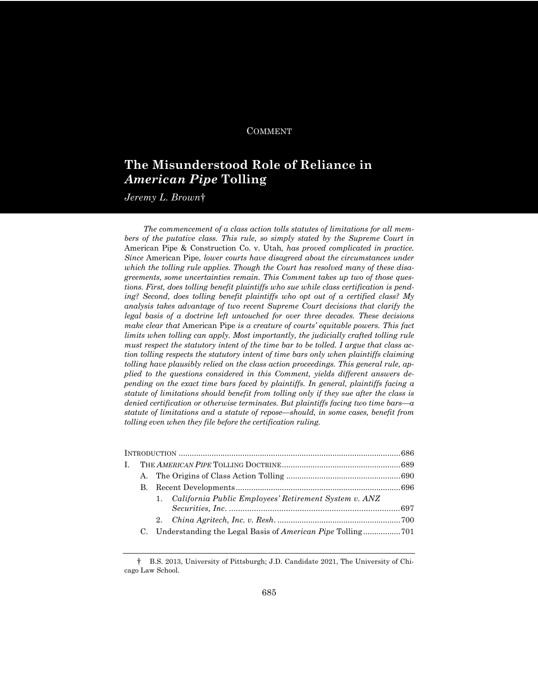### COMMENT

# **The Misunderstood Role of Reliance in**  *American Pipe* **Tolling**

*Jeremy L. Brown*†

*The commencement of a class action tolls statutes of limitations for all members of the putative class. This rule, so simply stated by the Supreme Court in*  American Pipe & Construction Co. v. Utah*, has proved complicated in practice. Since* American Pipe*, lower courts have disagreed about the circumstances under which the tolling rule applies. Though the Court has resolved many of these disagreements, some uncertainties remain. This Comment takes up two of those questions. First, does tolling benefit plaintiffs who sue while class certification is pending? Second, does tolling benefit plaintiffs who opt out of a certified class? My analysis takes advantage of two recent Supreme Court decisions that clarify the legal basis of a doctrine left untouched for over three decades. These decisions make clear that* American Pipe *is a creature of courts' equitable powers. This fact limits when tolling can apply. Most importantly, the judicially crafted tolling rule must respect the statutory intent of the time bar to be tolled. I argue that class action tolling respects the statutory intent of time bars only when plaintiffs claiming tolling have plausibly relied on the class action proceedings. This general rule, applied to the questions considered in this Comment, yields different answers depending on the exact time bars faced by plaintiffs. In general, plaintiffs facing a statute of limitations should benefit from tolling only if they sue after the class is denied certification or otherwise terminates. But plaintiffs facing two time bars—a statute of limitations and a statute of repose—should, in some cases, benefit from tolling even when they file before the certification ruling.*

|  |    | 1. California Public Employees' Retirement System v. ANZ |  |  |  |
|--|----|----------------------------------------------------------|--|--|--|
|  |    |                                                          |  |  |  |
|  | C. |                                                          |  |  |  |

<sup>†</sup> B.S. 2013, University of Pittsburgh; J.D. Candidate 2021, The University of Chicago Law School.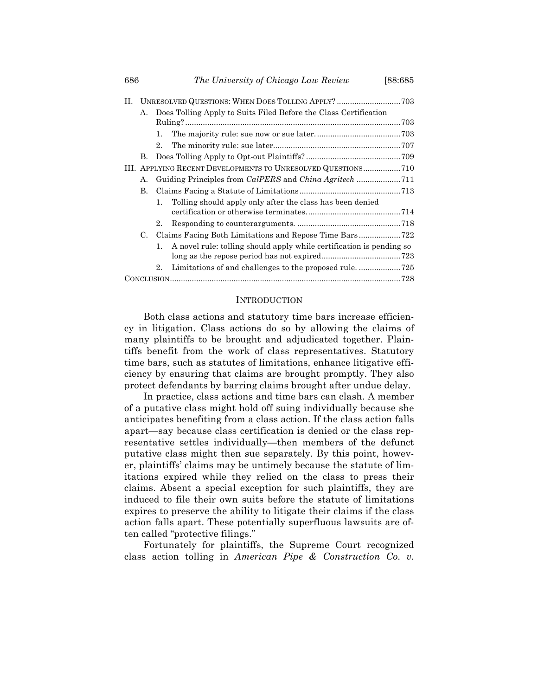| H. |                                                                        |                |                                                                      |  |  |  |
|----|------------------------------------------------------------------------|----------------|----------------------------------------------------------------------|--|--|--|
|    | Does Tolling Apply to Suits Filed Before the Class Certification<br>А. |                |                                                                      |  |  |  |
|    |                                                                        |                |                                                                      |  |  |  |
|    |                                                                        | 1.             |                                                                      |  |  |  |
|    |                                                                        | $2_{-}$        |                                                                      |  |  |  |
|    | В.                                                                     |                |                                                                      |  |  |  |
|    | III. APPLYING RECENT DEVELOPMENTS TO UNRESOLVED QUESTIONS710           |                |                                                                      |  |  |  |
|    | Α.                                                                     |                |                                                                      |  |  |  |
|    | В.                                                                     |                |                                                                      |  |  |  |
|    |                                                                        | $\mathbf{1}$ . | Tolling should apply only after the class has been denied            |  |  |  |
|    |                                                                        |                |                                                                      |  |  |  |
|    |                                                                        | 2.             |                                                                      |  |  |  |
|    | C.                                                                     |                | Claims Facing Both Limitations and Repose Time Bars722               |  |  |  |
|    |                                                                        | 1.             | A novel rule: tolling should apply while certification is pending so |  |  |  |
|    |                                                                        |                |                                                                      |  |  |  |
|    |                                                                        | $2_{-}$        |                                                                      |  |  |  |
|    |                                                                        |                |                                                                      |  |  |  |

### INTRODUCTION

Both class actions and statutory time bars increase efficiency in litigation. Class actions do so by allowing the claims of many plaintiffs to be brought and adjudicated together. Plaintiffs benefit from the work of class representatives. Statutory time bars, such as statutes of limitations, enhance litigative efficiency by ensuring that claims are brought promptly. They also protect defendants by barring claims brought after undue delay.

In practice, class actions and time bars can clash. A member of a putative class might hold off suing individually because she anticipates benefiting from a class action. If the class action falls apart—say because class certification is denied or the class representative settles individually—then members of the defunct putative class might then sue separately. By this point, however, plaintiffs' claims may be untimely because the statute of limitations expired while they relied on the class to press their claims. Absent a special exception for such plaintiffs, they are induced to file their own suits before the statute of limitations expires to preserve the ability to litigate their claims if the class action falls apart. These potentially superfluous lawsuits are often called "protective filings."

Fortunately for plaintiffs, the Supreme Court recognized class action tolling in *American Pipe & Construction Co. v.*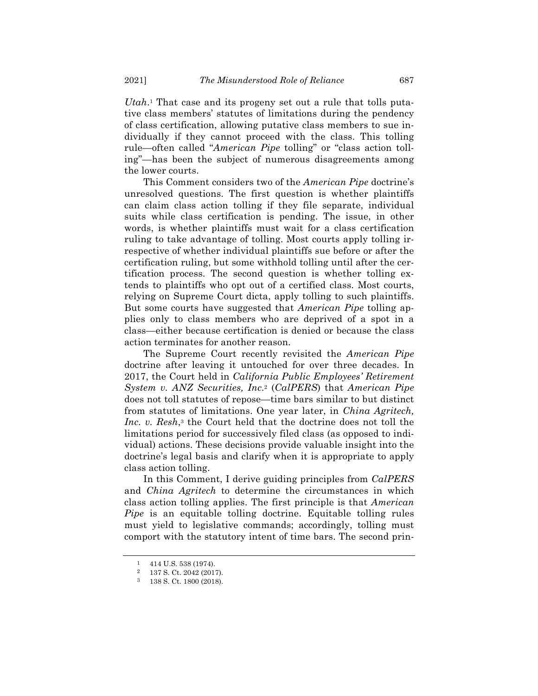*Utah*.1 That case and its progeny set out a rule that tolls putative class members' statutes of limitations during the pendency of class certification, allowing putative class members to sue individually if they cannot proceed with the class. This tolling rule—often called "*American Pipe* tolling" or "class action tolling"—has been the subject of numerous disagreements among the lower courts.

This Comment considers two of the *American Pipe* doctrine's unresolved questions. The first question is whether plaintiffs can claim class action tolling if they file separate, individual suits while class certification is pending. The issue, in other words, is whether plaintiffs must wait for a class certification ruling to take advantage of tolling. Most courts apply tolling irrespective of whether individual plaintiffs sue before or after the certification ruling, but some withhold tolling until after the certification process. The second question is whether tolling extends to plaintiffs who opt out of a certified class. Most courts, relying on Supreme Court dicta, apply tolling to such plaintiffs. But some courts have suggested that *American Pipe* tolling applies only to class members who are deprived of a spot in a class—either because certification is denied or because the class action terminates for another reason.

The Supreme Court recently revisited the *American Pipe* doctrine after leaving it untouched for over three decades. In 2017, the Court held in *California Public Employees' Retirement System v. ANZ Securities, Inc.*<sup>2</sup> (*CalPERS*) that *American Pipe* does not toll statutes of repose—time bars similar to but distinct from statutes of limitations. One year later, in *China Agritech, Inc. v. Resh*,<sup>3</sup> the Court held that the doctrine does not toll the limitations period for successively filed class (as opposed to individual) actions. These decisions provide valuable insight into the doctrine's legal basis and clarify when it is appropriate to apply class action tolling.

In this Comment, I derive guiding principles from *CalPERS* and *China Agritech* to determine the circumstances in which class action tolling applies. The first principle is that *American Pipe* is an equitable tolling doctrine. Equitable tolling rules must yield to legislative commands; accordingly, tolling must comport with the statutory intent of time bars. The second prin-

<sup>1</sup> 414 U.S. 538 (1974).

<sup>2</sup> 137 S. Ct. 2042 (2017).

<sup>3</sup> 138 S. Ct. 1800 (2018).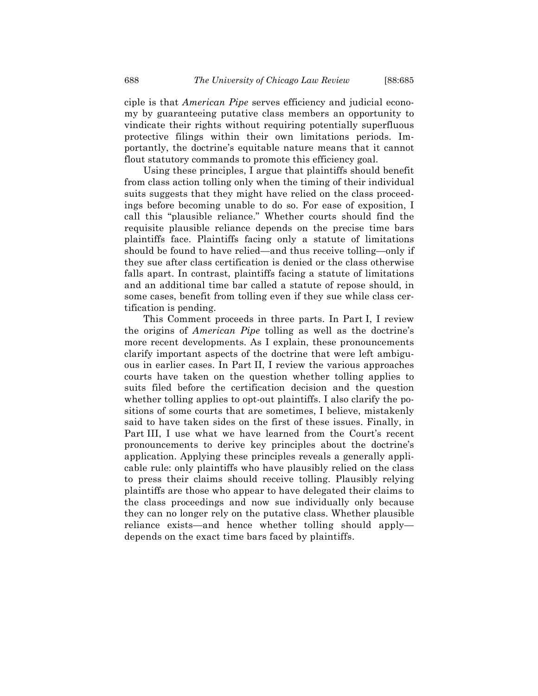ciple is that *American Pipe* serves efficiency and judicial economy by guaranteeing putative class members an opportunity to vindicate their rights without requiring potentially superfluous protective filings within their own limitations periods. Importantly, the doctrine's equitable nature means that it cannot flout statutory commands to promote this efficiency goal.

Using these principles, I argue that plaintiffs should benefit from class action tolling only when the timing of their individual suits suggests that they might have relied on the class proceedings before becoming unable to do so. For ease of exposition, I call this "plausible reliance." Whether courts should find the requisite plausible reliance depends on the precise time bars plaintiffs face. Plaintiffs facing only a statute of limitations should be found to have relied—and thus receive tolling—only if they sue after class certification is denied or the class otherwise falls apart. In contrast, plaintiffs facing a statute of limitations and an additional time bar called a statute of repose should, in some cases, benefit from tolling even if they sue while class certification is pending.

This Comment proceeds in three parts. In Part I, I review the origins of *American Pipe* tolling as well as the doctrine's more recent developments. As I explain, these pronouncements clarify important aspects of the doctrine that were left ambiguous in earlier cases. In Part II, I review the various approaches courts have taken on the question whether tolling applies to suits filed before the certification decision and the question whether tolling applies to opt-out plaintiffs. I also clarify the positions of some courts that are sometimes, I believe, mistakenly said to have taken sides on the first of these issues. Finally, in Part III, I use what we have learned from the Court's recent pronouncements to derive key principles about the doctrine's application. Applying these principles reveals a generally applicable rule: only plaintiffs who have plausibly relied on the class to press their claims should receive tolling. Plausibly relying plaintiffs are those who appear to have delegated their claims to the class proceedings and now sue individually only because they can no longer rely on the putative class. Whether plausible reliance exists—and hence whether tolling should apply depends on the exact time bars faced by plaintiffs.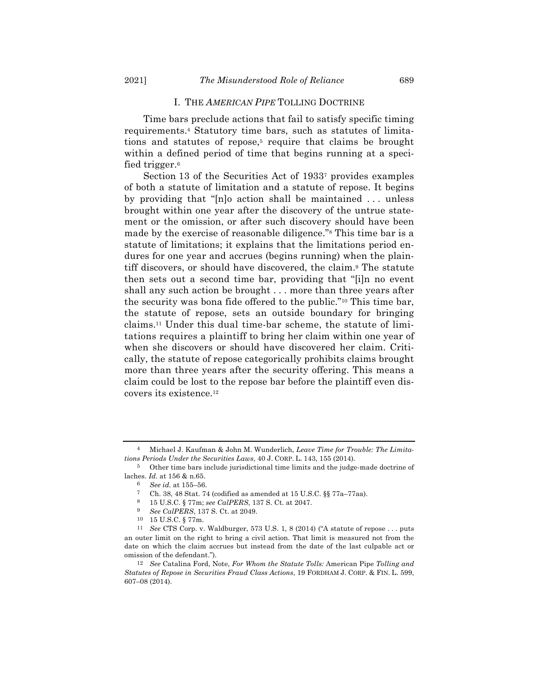#### I. THE *AMERICAN PIPE* TOLLING DOCTRINE

Time bars preclude actions that fail to satisfy specific timing requirements.4 Statutory time bars, such as statutes of limitations and statutes of repose,<sup>5</sup> require that claims be brought within a defined period of time that begins running at a specified trigger.6

Section 13 of the Securities Act of 19337 provides examples of both a statute of limitation and a statute of repose. It begins by providing that "[n]o action shall be maintained . . . unless brought within one year after the discovery of the untrue statement or the omission, or after such discovery should have been made by the exercise of reasonable diligence."8 This time bar is a statute of limitations; it explains that the limitations period endures for one year and accrues (begins running) when the plaintiff discovers, or should have discovered, the claim.<sup>9</sup> The statute then sets out a second time bar, providing that "[i]n no event shall any such action be brought . . . more than three years after the security was bona fide offered to the public."10 This time bar, the statute of repose, sets an outside boundary for bringing claims.11 Under this dual time-bar scheme, the statute of limitations requires a plaintiff to bring her claim within one year of when she discovers or should have discovered her claim. Critically, the statute of repose categorically prohibits claims brought more than three years after the security offering. This means a claim could be lost to the repose bar before the plaintiff even discovers its existence.12

<sup>4</sup> Michael J. Kaufman & John M. Wunderlich, *Leave Time for Trouble: The Limitations Periods Under the Securities Laws*, 40 J. CORP. L. 143, 155 (2014).

<sup>5</sup> Other time bars include jurisdictional time limits and the judge-made doctrine of laches. *Id.* at 156 & n.65.

<sup>6</sup> *See id.* at 155–56.

<sup>7</sup> Ch. 38, 48 Stat. 74 (codified as amended at 15 U.S.C. §§ 77a–77aa).

<sup>8</sup> 15 U.S.C. § 77m; *see CalPERS*, 137 S. Ct. at 2047.

<sup>9</sup> *See CalPERS*, 137 S. Ct. at 2049.

<sup>10</sup> 15 U.S.C. § 77m.

<sup>11</sup> *See* CTS Corp. v. Waldburger, 573 U.S. 1, 8 (2014) ("A statute of repose . . . puts an outer limit on the right to bring a civil action. That limit is measured not from the date on which the claim accrues but instead from the date of the last culpable act or omission of the defendant.").

<sup>12</sup> *See* Catalina Ford, Note, *For Whom the Statute Tolls:* American Pipe *Tolling and Statutes of Repose in Securities Fraud Class Actions*, 19 FORDHAM J. CORP. & FIN. L. 599, 607–08 (2014).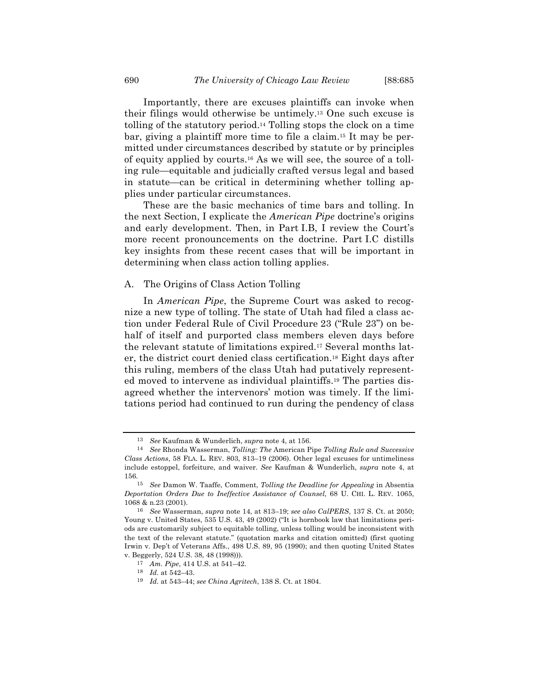Importantly, there are excuses plaintiffs can invoke when their filings would otherwise be untimely.13 One such excuse is tolling of the statutory period.14 Tolling stops the clock on a time bar, giving a plaintiff more time to file a claim.15 It may be permitted under circumstances described by statute or by principles of equity applied by courts.16 As we will see, the source of a tolling rule—equitable and judicially crafted versus legal and based in statute—can be critical in determining whether tolling applies under particular circumstances.

These are the basic mechanics of time bars and tolling. In the next Section, I explicate the *American Pipe* doctrine's origins and early development. Then, in Part I.B, I review the Court's more recent pronouncements on the doctrine. Part I.C distills key insights from these recent cases that will be important in determining when class action tolling applies.

#### A. The Origins of Class Action Tolling

In *American Pipe*, the Supreme Court was asked to recognize a new type of tolling. The state of Utah had filed a class action under Federal Rule of Civil Procedure 23 ("Rule 23") on behalf of itself and purported class members eleven days before the relevant statute of limitations expired.17 Several months later, the district court denied class certification.18 Eight days after this ruling, members of the class Utah had putatively represented moved to intervene as individual plaintiffs.19 The parties disagreed whether the intervenors' motion was timely. If the limitations period had continued to run during the pendency of class

<sup>13</sup> *See* Kaufman & Wunderlich, *supra* note 4, at 156.

<sup>14</sup> *See* Rhonda Wasserman, *Tolling: The* American Pipe *Tolling Rule and Successive Class Actions*, 58 FLA. L. REV. 803, 813–19 (2006). Other legal excuses for untimeliness include estoppel, forfeiture, and waiver. *See* Kaufman & Wunderlich, *supra* note 4, at 156.

<sup>15</sup> *See* Damon W. Taaffe, Comment, *Tolling the Deadline for Appealing* in Absentia *Deportation Orders Due to Ineffective Assistance of Counsel*, 68 U. CHI. L. REV. 1065, 1068 & n.23 (2001).

<sup>16</sup> *See* Wasserman, *supra* note 14, at 813–19; *see also CalPERS*, 137 S. Ct. at 2050; Young v. United States, 535 U.S. 43, 49 (2002) ("It is hornbook law that limitations periods are customarily subject to equitable tolling, unless tolling would be inconsistent with the text of the relevant statute." (quotation marks and citation omitted) (first quoting Irwin v. Dep't of Veterans Affs., 498 U.S. 89, 95 (1990); and then quoting United States v. Beggerly, 524 U.S. 38, 48 (1998))).

<sup>17</sup> *Am. Pipe*, 414 U.S. at 541–42.

<sup>18</sup> *Id.* at 542–43.

<sup>19</sup> *Id.* at 543–44; *see China Agritech*, 138 S. Ct. at 1804.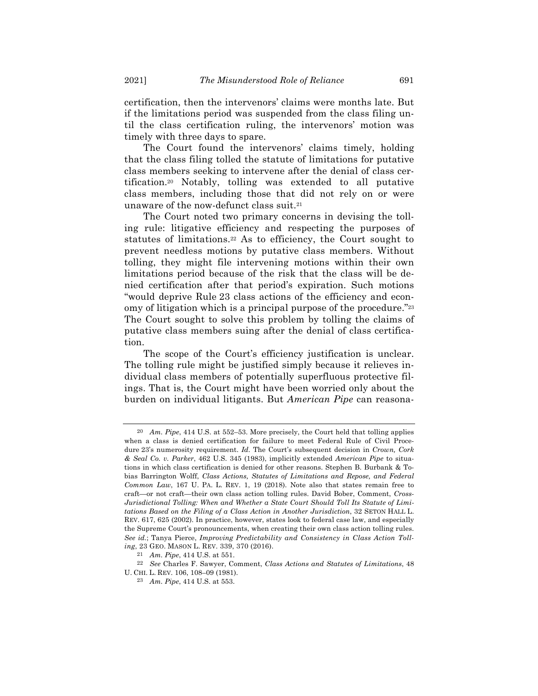certification, then the intervenors' claims were months late. But if the limitations period was suspended from the class filing until the class certification ruling, the intervenors' motion was timely with three days to spare.

The Court found the intervenors' claims timely, holding that the class filing tolled the statute of limitations for putative class members seeking to intervene after the denial of class certification.<sup>20</sup> Notably, tolling was extended to all putative class members, including those that did not rely on or were unaware of the now-defunct class suit.<sup>21</sup>

The Court noted two primary concerns in devising the tolling rule: litigative efficiency and respecting the purposes of statutes of limitations.<sup>22</sup> As to efficiency, the Court sought to prevent needless motions by putative class members. Without tolling, they might file intervening motions within their own limitations period because of the risk that the class will be denied certification after that period's expiration. Such motions "would deprive Rule 23 class actions of the efficiency and economy of litigation which is a principal purpose of the procedure."<sup>23</sup> The Court sought to solve this problem by tolling the claims of putative class members suing after the denial of class certification.

The scope of the Court's efficiency justification is unclear. The tolling rule might be justified simply because it relieves individual class members of potentially superfluous protective filings. That is, the Court might have been worried only about the burden on individual litigants. But *American Pipe* can reasona-

<sup>20</sup> *Am. Pipe*, 414 U.S. at 552–53. More precisely, the Court held that tolling applies when a class is denied certification for failure to meet Federal Rule of Civil Procedure 23's numerosity requirement. *Id.* The Court's subsequent decision in *Crown, Cork & Seal Co. v. Parker*, 462 U.S. 345 (1983), implicitly extended *American Pipe* to situations in which class certification is denied for other reasons. Stephen B. Burbank & Tobias Barrington Wolff, *Class Actions, Statutes of Limitations and Repose, and Federal Common Law*, 167 U. PA. L. REV. 1, 19 (2018). Note also that states remain free to craft—or not craft—their own class action tolling rules. David Bober, Comment, *Cross-Jurisdictional Tolling: When and Whether a State Court Should Toll Its Statute of Limitations Based on the Filing of a Class Action in Another Jurisdiction*, 32 SETON HALL L. REV. 617, 625 (2002). In practice, however, states look to federal case law, and especially the Supreme Court's pronouncements, when creating their own class action tolling rules. *See id.*; Tanya Pierce, *Improving Predictability and Consistency in Class Action Tolling*, 23 GEO. MASON L. REV. 339, 370 (2016).

<sup>21</sup> *Am. Pipe*, 414 U.S. at 551.

<sup>22</sup> *See* Charles F. Sawyer, Comment, *Class Actions and Statutes of Limitations*, 48 U. CHI. L. REV. 106, 108–09 (1981).

<sup>23</sup> *Am. Pipe*, 414 U.S. at 553.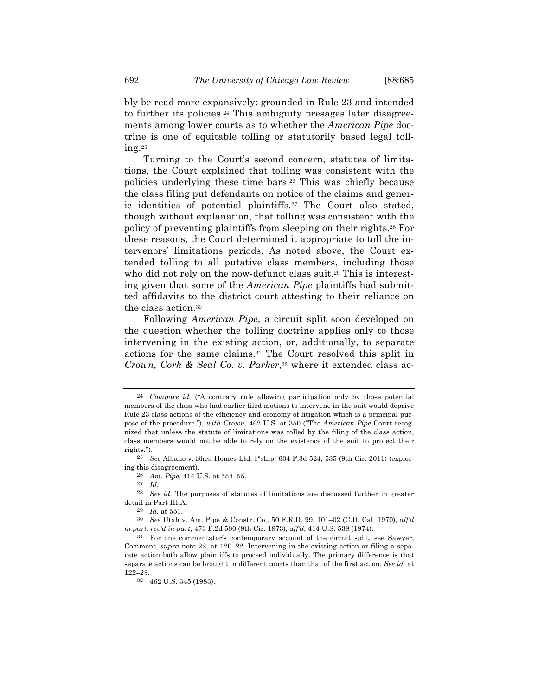bly be read more expansively: grounded in Rule 23 and intended to further its policies.24 This ambiguity presages later disagreements among lower courts as to whether the *American Pipe* doctrine is one of equitable tolling or statutorily based legal tolling.25

Turning to the Court's second concern, statutes of limitations, the Court explained that tolling was consistent with the policies underlying these time bars.26 This was chiefly because the class filing put defendants on notice of the claims and generic identities of potential plaintiffs.27 The Court also stated, though without explanation, that tolling was consistent with the policy of preventing plaintiffs from sleeping on their rights.28 For these reasons, the Court determined it appropriate to toll the intervenors' limitations periods. As noted above, the Court extended tolling to all putative class members, including those who did not rely on the now-defunct class suit.<sup>29</sup> This is interesting given that some of the *American Pipe* plaintiffs had submitted affidavits to the district court attesting to their reliance on the class action.30

Following *American Pipe*, a circuit split soon developed on the question whether the tolling doctrine applies only to those intervening in the existing action, or, additionally, to separate actions for the same claims.31 The Court resolved this split in *Crown, Cork & Seal Co. v. Parker*,<sup>32</sup> where it extended class ac-

26 *Am. Pipe*, 414 U.S. at 554–55.

27 *Id.*

28 *See id.* The purposes of statutes of limitations are discussed further in greater detail in Part III.A.

29 *Id.* at 551.

<sup>24</sup> *Compare id.* ("A contrary rule allowing participation only by those potential members of the class who had earlier filed motions to intervene in the suit would deprive Rule 23 class actions of the efficiency and economy of litigation which is a principal purpose of the procedure."), *with Crown*, 462 U.S. at 350 ("The *American Pipe* Court recognized that unless the statute of limitations was tolled by the filing of the class action, class members would not be able to rely on the existence of the suit to protect their rights.").

<sup>25</sup> *See* Albano v. Shea Homes Ltd. P'ship, 634 F.3d 524, 535 (9th Cir. 2011) (exploring this disagreement).

<sup>30</sup> *See* Utah v. Am. Pipe & Constr. Co., 50 F.R.D. 99, 101–02 (C.D. Cal. 1970), *aff'd in part, rev'd in part*, 473 F.2d 580 (9th Cir. 1973), *aff'd*, 414 U.S. 538 (1974).

<sup>31</sup> For one commentator's contemporary account of the circuit split, see Sawyer, Comment, *supra* note 22, at 120–22. Intervening in the existing action or filing a separate action both allow plaintiffs to proceed individually. The primary difference is that separate actions can be brought in different courts than that of the first action. *See id.* at 122–23.

<sup>32</sup> 462 U.S. 345 (1983).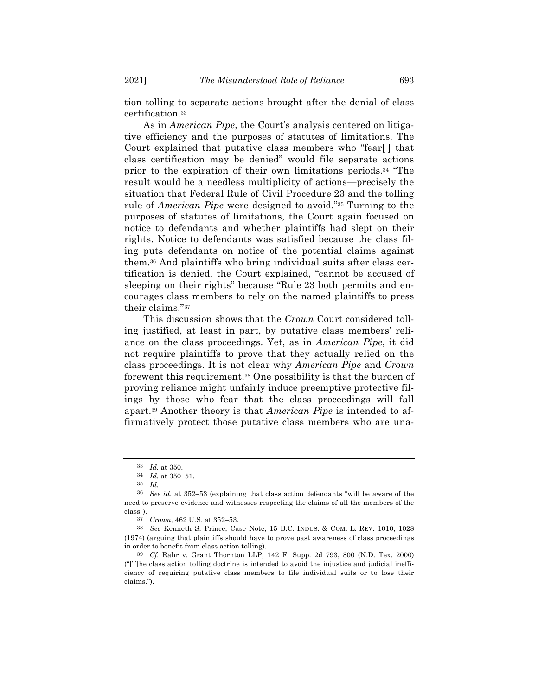tion tolling to separate actions brought after the denial of class certification.33

As in *American Pipe*, the Court's analysis centered on litigative efficiency and the purposes of statutes of limitations. The Court explained that putative class members who "fear[ ] that class certification may be denied" would file separate actions prior to the expiration of their own limitations periods.34 "The result would be a needless multiplicity of actions—precisely the situation that Federal Rule of Civil Procedure 23 and the tolling rule of *American Pipe* were designed to avoid."35 Turning to the purposes of statutes of limitations, the Court again focused on notice to defendants and whether plaintiffs had slept on their rights. Notice to defendants was satisfied because the class filing puts defendants on notice of the potential claims against them.36 And plaintiffs who bring individual suits after class certification is denied, the Court explained, "cannot be accused of sleeping on their rights" because "Rule 23 both permits and encourages class members to rely on the named plaintiffs to press their claims."37

This discussion shows that the *Crown* Court considered tolling justified, at least in part, by putative class members' reliance on the class proceedings. Yet, as in *American Pipe*, it did not require plaintiffs to prove that they actually relied on the class proceedings. It is not clear why *American Pipe* and *Crown* forewent this requirement.38 One possibility is that the burden of proving reliance might unfairly induce preemptive protective filings by those who fear that the class proceedings will fall apart.39 Another theory is that *American Pipe* is intended to affirmatively protect those putative class members who are una-

<sup>33</sup> *Id.* at 350.

<sup>34</sup> *Id.* at 350–51.

<sup>35</sup> *Id.*

<sup>36</sup> *See id.* at 352–53 (explaining that class action defendants "will be aware of the need to preserve evidence and witnesses respecting the claims of all the members of the class").

<sup>37</sup> *Crown*, 462 U.S. at 352–53.

<sup>38</sup> *See* Kenneth S. Prince, Case Note, 15 B.C. INDUS. & COM. L. REV. 1010, 1028 (1974) (arguing that plaintiffs should have to prove past awareness of class proceedings in order to benefit from class action tolling).

<sup>39</sup> *Cf.* Rahr v. Grant Thornton LLP, 142 F. Supp. 2d 793, 800 (N.D. Tex. 2000) ("[T]he class action tolling doctrine is intended to avoid the injustice and judicial inefficiency of requiring putative class members to file individual suits or to lose their claims.").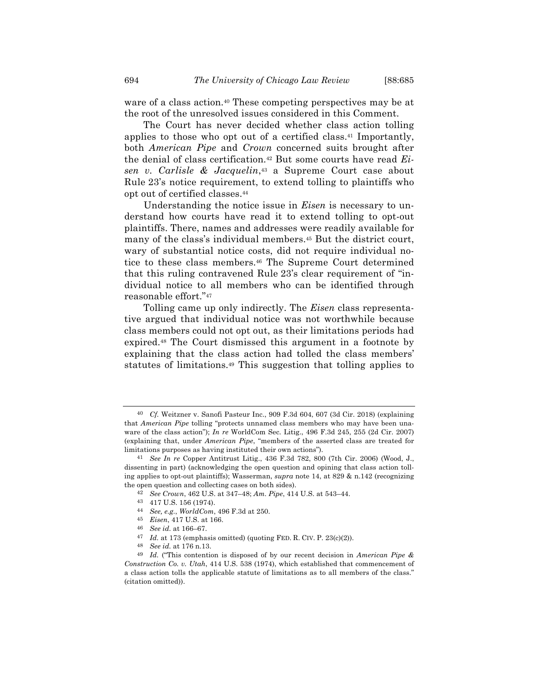ware of a class action.40 These competing perspectives may be at the root of the unresolved issues considered in this Comment.

The Court has never decided whether class action tolling applies to those who opt out of a certified class.41 Importantly, both *American Pipe* and *Crown* concerned suits brought after the denial of class certification.42 But some courts have read *Eisen v. Carlisle & Jacquelin*,43 a Supreme Court case about Rule 23's notice requirement, to extend tolling to plaintiffs who opt out of certified classes.44

Understanding the notice issue in *Eisen* is necessary to understand how courts have read it to extend tolling to opt-out plaintiffs. There, names and addresses were readily available for many of the class's individual members.45 But the district court, wary of substantial notice costs, did not require individual notice to these class members.46 The Supreme Court determined that this ruling contravened Rule 23's clear requirement of "individual notice to all members who can be identified through reasonable effort."47

Tolling came up only indirectly. The *Eisen* class representative argued that individual notice was not worthwhile because class members could not opt out, as their limitations periods had expired.48 The Court dismissed this argument in a footnote by explaining that the class action had tolled the class members' statutes of limitations.49 This suggestion that tolling applies to

- 43 417 U.S. 156 (1974).
- 44 *See, e.g.*, *WorldCom*, 496 F.3d at 250.
- 45 *Eisen*, 417 U.S. at 166.
- 46 *See id.* at 166–67.
- 47 *Id.* at 173 (emphasis omitted) (quoting FED. R. CIV. P. 23(c)(2)).
- 48 *See id.* at 176 n.13.

<sup>40</sup> *Cf.* Weitzner v. Sanofi Pasteur Inc., 909 F.3d 604, 607 (3d Cir. 2018) (explaining that *American Pipe* tolling "protects unnamed class members who may have been unaware of the class action"); *In re* WorldCom Sec. Litig., 496 F.3d 245, 255 (2d Cir. 2007) (explaining that, under *American Pipe*, "members of the asserted class are treated for limitations purposes as having instituted their own actions").

<sup>41</sup> *See In re* Copper Antitrust Litig., 436 F.3d 782, 800 (7th Cir. 2006) (Wood, J., dissenting in part) (acknowledging the open question and opining that class action tolling applies to opt-out plaintiffs); Wasserman, *supra* note 14, at 829 & n.142 (recognizing the open question and collecting cases on both sides).

<sup>42</sup> *See Crown*, 462 U.S. at 347–48; *Am. Pipe*, 414 U.S. at 543–44.

<sup>49</sup> *Id.* ("This contention is disposed of by our recent decision in *American Pipe & Construction Co. v. Utah*, 414 U.S. 538 (1974), which established that commencement of a class action tolls the applicable statute of limitations as to all members of the class." (citation omitted)).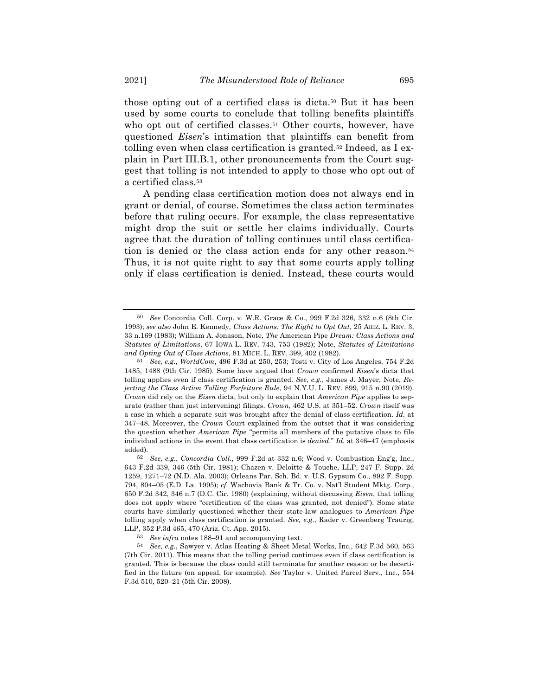those opting out of a certified class is dicta.50 But it has been used by some courts to conclude that tolling benefits plaintiffs who opt out of certified classes.<sup>51</sup> Other courts, however, have questioned *Eisen*'s intimation that plaintiffs can benefit from tolling even when class certification is granted.<sup>52</sup> Indeed, as I explain in Part III.B.1, other pronouncements from the Court suggest that tolling is not intended to apply to those who opt out of a certified class.53

A pending class certification motion does not always end in grant or denial, of course. Sometimes the class action terminates before that ruling occurs. For example, the class representative might drop the suit or settle her claims individually. Courts agree that the duration of tolling continues until class certification is denied or the class action ends for any other reason.54 Thus, it is not quite right to say that some courts apply tolling only if class certification is denied. Instead, these courts would

<sup>50</sup> *See* Concordia Coll. Corp. v. W.R. Grace & Co., 999 F.2d 326, 332 n.6 (8th Cir. 1993); *see also* John E. Kennedy, *Class Actions: The Right to Opt Out*, 25 ARIZ. L. REV. 3, 33 n.169 (1983); William A. Jonason, Note, *The* American Pipe *Dream: Class Actions and Statutes of Limitations*, 67 IOWA L. REV. 743, 753 (1982); Note, *Statutes of Limitations and Opting Out of Class Actions*, 81 MICH. L. REV. 399, 402 (1982).

<sup>51</sup> *See, e.g.*, *WorldCom*, 496 F.3d at 250, 253; Tosti v. City of Los Angeles, 754 F.2d 1485, 1488 (9th Cir. 1985). Some have argued that *Crown* confirmed *Eisen*'s dicta that tolling applies even if class certification is granted. *See, e.g.*, James J. Mayer, Note, *Rejecting the Class Action Tolling Forfeiture Rule*, 94 N.Y.U. L. REV. 899, 915 n.90 (2019). *Crown* did rely on the *Eisen* dicta, but only to explain that *American Pipe* applies to separate (rather than just intervening) filings. *Crown*, 462 U.S. at 351–52. *Crown* itself was a case in which a separate suit was brought after the denial of class certification. *Id.* at 347–48. Moreover, the *Crown* Court explained from the outset that it was considering the question whether *American Pipe* "permits all members of the putative class to file individual actions in the event that class certification is *denied*." *Id.* at 346–47 (emphasis added).

<sup>52</sup> *See, e.g.*, *Concordia Coll.*, 999 F.2d at 332 n.6; Wood v. Combustion Eng'g, Inc., 643 F.2d 339, 346 (5th Cir. 1981); Chazen v. Deloitte & Touche, LLP, 247 F. Supp. 2d 1259, 1271–72 (N.D. Ala. 2003); Orleans Par. Sch. Bd. v. U.S. Gypsum Co., 892 F. Supp. 794, 804–05 (E.D. La. 1995); *cf.* Wachovia Bank & Tr. Co. v. Nat'l Student Mktg. Corp., 650 F.2d 342, 346 n.7 (D.C. Cir. 1980) (explaining, without discussing *Eisen*, that tolling does not apply where "certification of the class was granted, not denied"). Some state courts have similarly questioned whether their state-law analogues to *American Pipe* tolling apply when class certification is granted. *See, e.g.*, Rader v. Greenberg Traurig, LLP, 352 P.3d 465, 470 (Ariz. Ct. App. 2015).

<sup>53</sup> *See infra* notes 188–91 and accompanying text.

<sup>54</sup> *See, e.g.*, Sawyer v. Atlas Heating & Sheet Metal Works, Inc., 642 F.3d 560, 563 (7th Cir. 2011). This means that the tolling period continues even if class certification is granted. This is because the class could still terminate for another reason or be decertified in the future (on appeal, for example). *See* Taylor v. United Parcel Serv., Inc., 554 F.3d 510, 520–21 (5th Cir. 2008).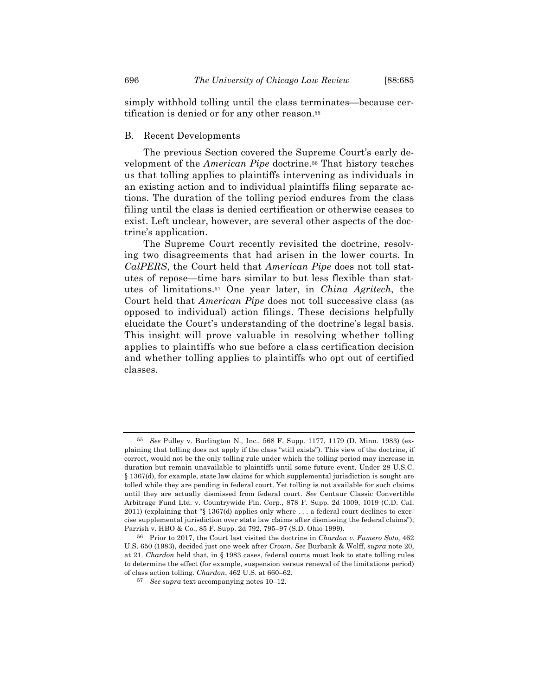simply withhold tolling until the class terminates—because certification is denied or for any other reason.55

### B. Recent Developments

The previous Section covered the Supreme Court's early development of the *American Pipe* doctrine.<sup>56</sup> That history teaches us that tolling applies to plaintiffs intervening as individuals in an existing action and to individual plaintiffs filing separate actions. The duration of the tolling period endures from the class filing until the class is denied certification or otherwise ceases to exist. Left unclear, however, are several other aspects of the doctrine's application.

The Supreme Court recently revisited the doctrine, resolving two disagreements that had arisen in the lower courts. In *CalPERS*, the Court held that *American Pipe* does not toll statutes of repose—time bars similar to but less flexible than statutes of limitations.57 One year later, in *China Agritech*, the Court held that *American Pipe* does not toll successive class (as opposed to individual) action filings. These decisions helpfully elucidate the Court's understanding of the doctrine's legal basis. This insight will prove valuable in resolving whether tolling applies to plaintiffs who sue before a class certification decision and whether tolling applies to plaintiffs who opt out of certified classes.

<sup>55</sup> *See* Pulley v. Burlington N., Inc., 568 F. Supp. 1177, 1179 (D. Minn. 1983) (explaining that tolling does not apply if the class "still exists"). This view of the doctrine, if correct, would not be the only tolling rule under which the tolling period may increase in duration but remain unavailable to plaintiffs until some future event. Under 28 U.S.C. § 1367(d), for example, state law claims for which supplemental jurisdiction is sought are tolled while they are pending in federal court. Yet tolling is not available for such claims until they are actually dismissed from federal court. *See* Centaur Classic Convertible Arbitrage Fund Ltd. v. Countrywide Fin. Corp., 878 F. Supp. 2d 1009, 1019 (C.D. Cal. 2011) (explaining that "§ 1367(d) applies only where . . . a federal court declines to exercise supplemental jurisdiction over state law claims after dismissing the federal claims"); Parrish v. HBO & Co., 85 F. Supp. 2d 792, 795–97 (S.D. Ohio 1999).

<sup>56</sup> Prior to 2017, the Court last visited the doctrine in *Chardon v. Fumero Soto*, 462 U.S. 650 (1983), decided just one week after *Crown*. *See* Burbank & Wolff, *supra* note 20, at 21. *Chardon* held that, in § 1983 cases, federal courts must look to state tolling rules to determine the effect (for example, suspension versus renewal of the limitations period) of class action tolling. *Chardon*, 462 U.S. at 660–62.

<sup>57</sup> *See supra* text accompanying notes 10–12.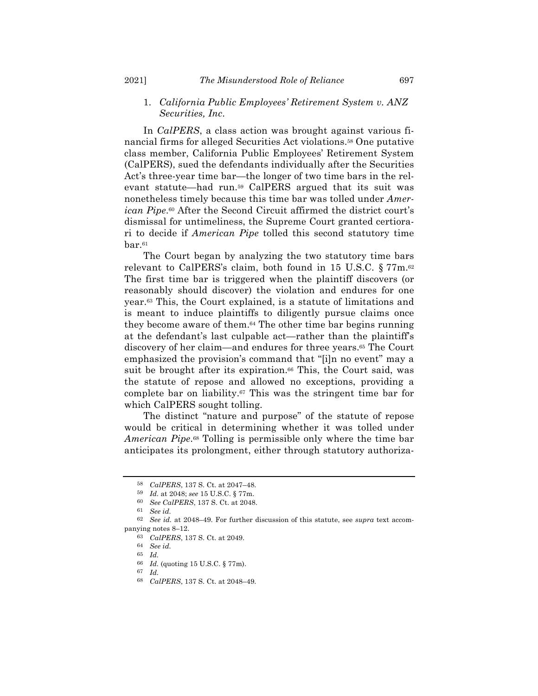# 1. *California Public Employees' Retirement System v. ANZ Securities, Inc*.

In *CalPERS*, a class action was brought against various financial firms for alleged Securities Act violations.58 One putative class member, California Public Employees' Retirement System (CalPERS), sued the defendants individually after the Securities Act's three-year time bar—the longer of two time bars in the relevant statute—had run.59 CalPERS argued that its suit was nonetheless timely because this time bar was tolled under *American Pipe*.60 After the Second Circuit affirmed the district court's dismissal for untimeliness, the Supreme Court granted certiorari to decide if *American Pipe* tolled this second statutory time bar.61

The Court began by analyzing the two statutory time bars relevant to CalPERS's claim, both found in 15 U.S.C. § 77m.62 The first time bar is triggered when the plaintiff discovers (or reasonably should discover) the violation and endures for one year.63 This, the Court explained, is a statute of limitations and is meant to induce plaintiffs to diligently pursue claims once they become aware of them.64 The other time bar begins running at the defendant's last culpable act—rather than the plaintiff's discovery of her claim—and endures for three years.65 The Court emphasized the provision's command that "[i]n no event" may a suit be brought after its expiration.<sup>66</sup> This, the Court said, was the statute of repose and allowed no exceptions, providing a complete bar on liability.67 This was the stringent time bar for which CalPERS sought tolling.

The distinct "nature and purpose" of the statute of repose would be critical in determining whether it was tolled under *American Pipe*.68 Tolling is permissible only where the time bar anticipates its prolongment, either through statutory authoriza-

<sup>58</sup> *CalPERS*, 137 S. Ct. at 2047–48.

<sup>59</sup> *Id.* at 2048; *see* 15 U.S.C. § 77m.

<sup>60</sup> *See CalPERS*, 137 S. Ct. at 2048.

<sup>61</sup> *See id.*

<sup>62</sup> *See id.* at 2048–49. For further discussion of this statute, see *supra* text accompanying notes 8–12.

<sup>63</sup> *CalPERS*, 137 S. Ct. at 2049.

<sup>64</sup> *See id.*

<sup>65</sup> *Id.*

<sup>66</sup> *Id.* (quoting 15 U.S.C. § 77m).

<sup>67</sup> *Id.*

<sup>68</sup> *CalPERS*, 137 S. Ct. at 2048–49.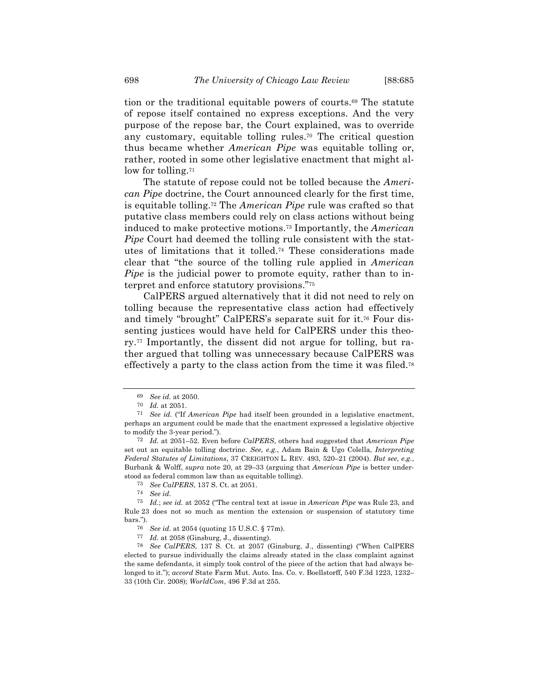tion or the traditional equitable powers of courts.69 The statute of repose itself contained no express exceptions. And the very purpose of the repose bar, the Court explained, was to override any customary, equitable tolling rules.70 The critical question thus became whether *American Pipe* was equitable tolling or, rather, rooted in some other legislative enactment that might allow for tolling.<sup>71</sup>

The statute of repose could not be tolled because the *American Pipe* doctrine, the Court announced clearly for the first time, is equitable tolling.72 The *American Pipe* rule was crafted so that putative class members could rely on class actions without being induced to make protective motions.73 Importantly, the *American Pipe* Court had deemed the tolling rule consistent with the statutes of limitations that it tolled.74 These considerations made clear that "the source of the tolling rule applied in *American Pipe* is the judicial power to promote equity, rather than to interpret and enforce statutory provisions."75

CalPERS argued alternatively that it did not need to rely on tolling because the representative class action had effectively and timely "brought" CalPERS's separate suit for it.76 Four dissenting justices would have held for CalPERS under this theory.77 Importantly, the dissent did not argue for tolling, but rather argued that tolling was unnecessary because CalPERS was effectively a party to the class action from the time it was filed.78

<sup>69</sup> *See id.* at 2050.

<sup>70</sup> *Id.* at 2051.

<sup>71</sup> *See id.* ("If *American Pipe* had itself been grounded in a legislative enactment, perhaps an argument could be made that the enactment expressed a legislative objective to modify the 3-year period.").

<sup>72</sup> *Id.* at 2051–52. Even before *CalPERS*, others had suggested that *American Pipe* set out an equitable tolling doctrine. *See, e.g.*, Adam Bain & Ugo Colella, *Interpreting Federal Statutes of Limitations*, 37 CREIGHTON L. REV. 493, 520–21 (2004). *But see, e.g.*, Burbank & Wolff, *supra* note 20, at 29–33 (arguing that *American Pipe* is better understood as federal common law than as equitable tolling).

<sup>73</sup> *See CalPERS*, 137 S. Ct. at 2051.

<sup>74</sup> *See id.*

<sup>75</sup> *Id.*; *see id.* at 2052 ("The central text at issue in *American Pipe* was Rule 23, and Rule 23 does not so much as mention the extension or suspension of statutory time bars.").

<sup>76</sup> *See id.* at 2054 (quoting 15 U.S.C. § 77m).

<sup>77</sup> *Id.* at 2058 (Ginsburg, J., dissenting).

<sup>78</sup> *See CalPERS*, 137 S. Ct. at 2057 (Ginsburg, J., dissenting) ("When CalPERS elected to pursue individually the claims already stated in the class complaint against the same defendants, it simply took control of the piece of the action that had always belonged to it."); *accord* State Farm Mut. Auto. Ins. Co. v. Boellstorff, 540 F.3d 1223, 1232– 33 (10th Cir. 2008); *WorldCom*, 496 F.3d at 255.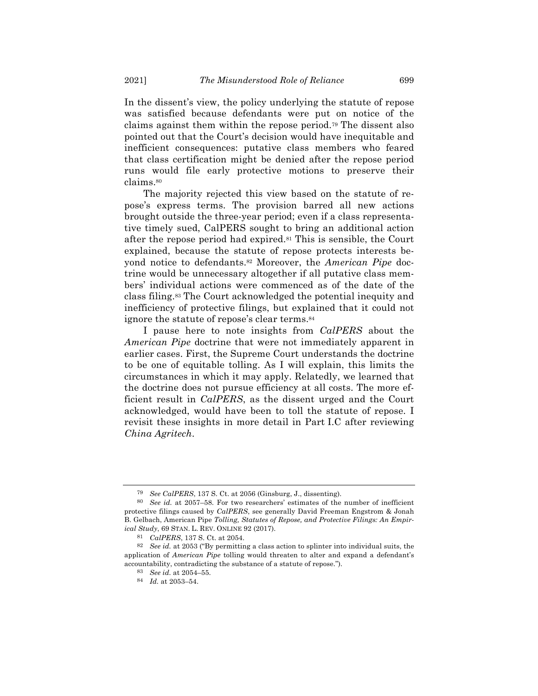In the dissent's view, the policy underlying the statute of repose was satisfied because defendants were put on notice of the claims against them within the repose period.79 The dissent also pointed out that the Court's decision would have inequitable and inefficient consequences: putative class members who feared that class certification might be denied after the repose period runs would file early protective motions to preserve their claims.80

The majority rejected this view based on the statute of repose's express terms. The provision barred all new actions brought outside the three-year period; even if a class representative timely sued, CalPERS sought to bring an additional action after the repose period had expired.81 This is sensible, the Court explained, because the statute of repose protects interests beyond notice to defendants.82 Moreover, the *American Pipe* doctrine would be unnecessary altogether if all putative class members' individual actions were commenced as of the date of the class filing.83 The Court acknowledged the potential inequity and inefficiency of protective filings, but explained that it could not ignore the statute of repose's clear terms.84

I pause here to note insights from *CalPERS* about the *American Pipe* doctrine that were not immediately apparent in earlier cases. First, the Supreme Court understands the doctrine to be one of equitable tolling. As I will explain, this limits the circumstances in which it may apply. Relatedly, we learned that the doctrine does not pursue efficiency at all costs. The more efficient result in *CalPERS*, as the dissent urged and the Court acknowledged, would have been to toll the statute of repose. I revisit these insights in more detail in Part I.C after reviewing *China Agritech*.

<sup>79</sup> *See CalPERS*, 137 S. Ct. at 2056 (Ginsburg, J., dissenting).

<sup>80</sup> *See id.* at 2057–58. For two researchers' estimates of the number of inefficient protective filings caused by *CalPERS*, see generally David Freeman Engstrom & Jonah B. Gelbach, American Pipe *Tolling, Statutes of Repose, and Protective Filings: An Empirical Study*, 69 STAN. L. REV. ONLINE 92 (2017).

<sup>81</sup> *CalPERS*, 137 S. Ct. at 2054.

<sup>82</sup> *See id.* at 2053 ("By permitting a class action to splinter into individual suits, the application of *American Pipe* tolling would threaten to alter and expand a defendant's accountability, contradicting the substance of a statute of repose.").

<sup>83</sup> *See id.* at 2054–55.

<sup>84</sup> *Id.* at 2053–54.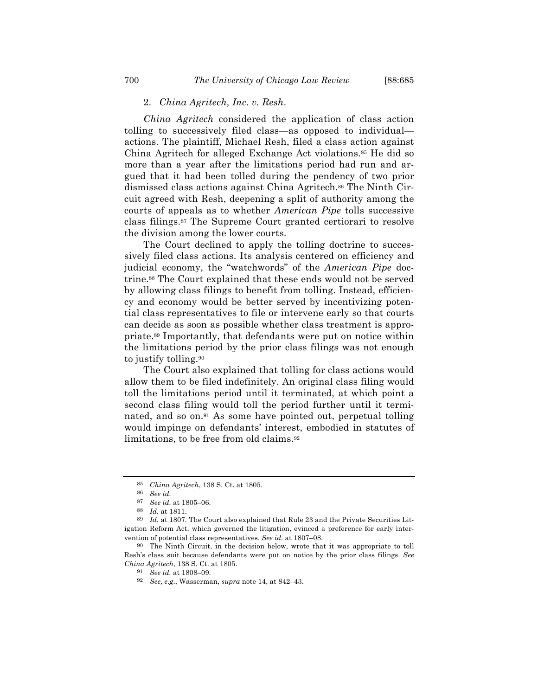### 2. *China Agritech, Inc. v. Resh*.

*China Agritech* considered the application of class action tolling to successively filed class—as opposed to individual actions. The plaintiff, Michael Resh, filed a class action against China Agritech for alleged Exchange Act violations.85 He did so more than a year after the limitations period had run and argued that it had been tolled during the pendency of two prior dismissed class actions against China Agritech.86 The Ninth Circuit agreed with Resh, deepening a split of authority among the courts of appeals as to whether *American Pipe* tolls successive class filings.87 The Supreme Court granted certiorari to resolve the division among the lower courts.

The Court declined to apply the tolling doctrine to successively filed class actions. Its analysis centered on efficiency and judicial economy, the "watchwords" of the *American Pipe* doctrine.88 The Court explained that these ends would not be served by allowing class filings to benefit from tolling. Instead, efficiency and economy would be better served by incentivizing potential class representatives to file or intervene early so that courts can decide as soon as possible whether class treatment is appropriate.89 Importantly, that defendants were put on notice within the limitations period by the prior class filings was not enough to justify tolling.90

The Court also explained that tolling for class actions would allow them to be filed indefinitely. An original class filing would toll the limitations period until it terminated, at which point a second class filing would toll the period further until it terminated, and so on.91 As some have pointed out, perpetual tolling would impinge on defendants' interest, embodied in statutes of limitations, to be free from old claims.92

<sup>85</sup> *China Agritech*, 138 S. Ct. at 1805.

<sup>86</sup> *See id.*

<sup>87</sup> *See id.* at 1805–06.

<sup>88</sup> *Id.* at 1811.

<sup>89</sup> *Id.* at 1807. The Court also explained that Rule 23 and the Private Securities Litigation Reform Act, which governed the litigation, evinced a preference for early intervention of potential class representatives. *See id.* at 1807–08.

<sup>90</sup> The Ninth Circuit, in the decision below, wrote that it was appropriate to toll Resh's class suit because defendants were put on notice by the prior class filings. *See China Agritech*, 138 S. Ct. at 1805.

<sup>91</sup> *See id.* at 1808–09.

<sup>92</sup> *See, e.g.*, Wasserman, *supra* note 14, at 842–43.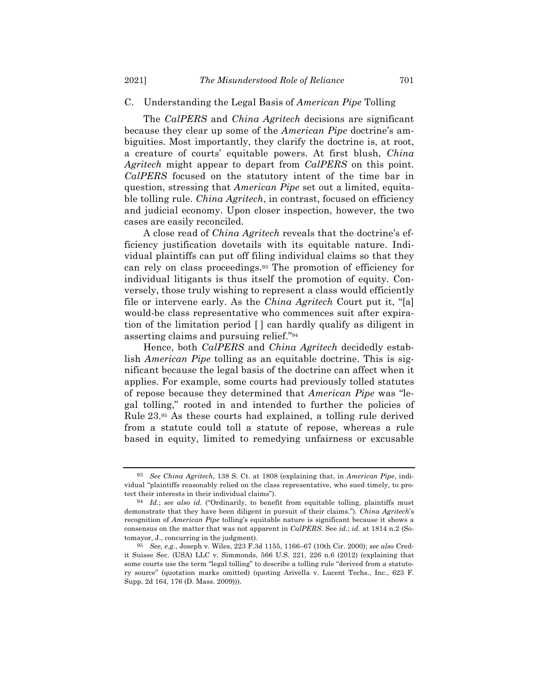# C. Understanding the Legal Basis of *American Pipe* Tolling

The *CalPERS* and *China Agritech* decisions are significant because they clear up some of the *American Pipe* doctrine's ambiguities. Most importantly, they clarify the doctrine is, at root, a creature of courts' equitable powers. At first blush, *China Agritech* might appear to depart from *CalPERS* on this point. *CalPERS* focused on the statutory intent of the time bar in question, stressing that *American Pipe* set out a limited, equitable tolling rule. *China Agritech*, in contrast, focused on efficiency and judicial economy. Upon closer inspection, however, the two cases are easily reconciled.

A close read of *China Agritech* reveals that the doctrine's efficiency justification dovetails with its equitable nature. Individual plaintiffs can put off filing individual claims so that they can rely on class proceedings.93 The promotion of efficiency for individual litigants is thus itself the promotion of equity. Conversely, those truly wishing to represent a class would efficiently file or intervene early. As the *China Agritech* Court put it, "[a] would-be class representative who commences suit after expiration of the limitation period [ ] can hardly qualify as diligent in asserting claims and pursuing relief."94

Hence, both *CalPERS* and *China Agritech* decidedly establish *American Pipe* tolling as an equitable doctrine. This is significant because the legal basis of the doctrine can affect when it applies. For example, some courts had previously tolled statutes of repose because they determined that *American Pipe* was "legal tolling," rooted in and intended to further the policies of Rule 23.95 As these courts had explained, a tolling rule derived from a statute could toll a statute of repose, whereas a rule based in equity, limited to remedying unfairness or excusable

<sup>93</sup> *See China Agritech*, 138 S. Ct. at 1808 (explaining that, in *American Pipe*, individual "plaintiffs reasonably relied on the class representative, who sued timely, to protect their interests in their individual claims").

<sup>94</sup> *Id.*; *see also id.* ("Ordinarily, to benefit from equitable tolling, plaintiffs must demonstrate that they have been diligent in pursuit of their claims."). *China Agritech*'s recognition of *American Pipe* tolling's equitable nature is significant because it shows a consensus on the matter that was not apparent in *CalPERS*. See *id.*; *id.* at 1814 n.2 (Sotomayor, J., concurring in the judgment).

<sup>95</sup> *See, e.g.*, Joseph v. Wiles, 223 F.3d 1155, 1166–67 (10th Cir. 2000); *see also* Credit Suisse Sec. (USA) LLC v. Simmonds, 566 U.S. 221, 226 n.6 (2012) (explaining that some courts use the term "legal tolling" to describe a tolling rule "derived from a statutory source" (quotation marks omitted) (quoting Arivella v. Lucent Techs., Inc., 623 F. Supp. 2d 164, 176 (D. Mass. 2009))).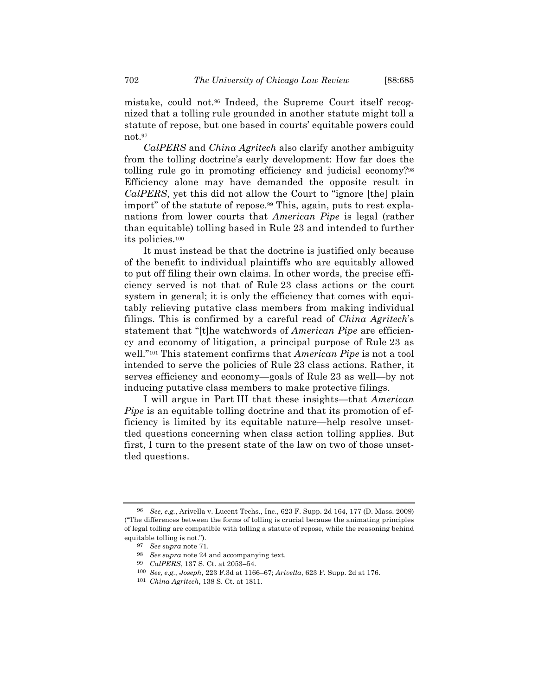mistake, could not.96 Indeed, the Supreme Court itself recognized that a tolling rule grounded in another statute might toll a statute of repose, but one based in courts' equitable powers could not.97

*CalPERS* and *China Agritech* also clarify another ambiguity from the tolling doctrine's early development: How far does the tolling rule go in promoting efficiency and judicial economy?98 Efficiency alone may have demanded the opposite result in *CalPERS*, yet this did not allow the Court to "ignore [the] plain import" of the statute of repose.<sup>99</sup> This, again, puts to rest explanations from lower courts that *American Pipe* is legal (rather than equitable) tolling based in Rule 23 and intended to further its policies.100

It must instead be that the doctrine is justified only because of the benefit to individual plaintiffs who are equitably allowed to put off filing their own claims. In other words, the precise efficiency served is not that of Rule 23 class actions or the court system in general; it is only the efficiency that comes with equitably relieving putative class members from making individual filings. This is confirmed by a careful read of *China Agritech*'s statement that "[t]he watchwords of *American Pipe* are efficiency and economy of litigation, a principal purpose of Rule 23 as well."101 This statement confirms that *American Pipe* is not a tool intended to serve the policies of Rule 23 class actions. Rather, it serves efficiency and economy—goals of Rule 23 as well—by not inducing putative class members to make protective filings.

I will argue in Part III that these insights—that *American Pipe* is an equitable tolling doctrine and that its promotion of efficiency is limited by its equitable nature—help resolve unsettled questions concerning when class action tolling applies. But first, I turn to the present state of the law on two of those unsettled questions.

<sup>96</sup> *See, e.g.*, Arivella v. Lucent Techs., Inc., 623 F. Supp. 2d 164, 177 (D. Mass. 2009) ("The differences between the forms of tolling is crucial because the animating principles of legal tolling are compatible with tolling a statute of repose, while the reasoning behind equitable tolling is not.").

<sup>97</sup> *See supra* note 71.

<sup>98</sup> *See supra* note 24 and accompanying text.

<sup>99</sup> *CalPERS*, 137 S. Ct. at 2053–54.

<sup>100</sup> *See, e.g.*, *Joseph*, 223 F.3d at 1166–67; *Arivella*, 623 F. Supp. 2d at 176.

<sup>101</sup> *China Agritech*, 138 S. Ct. at 1811.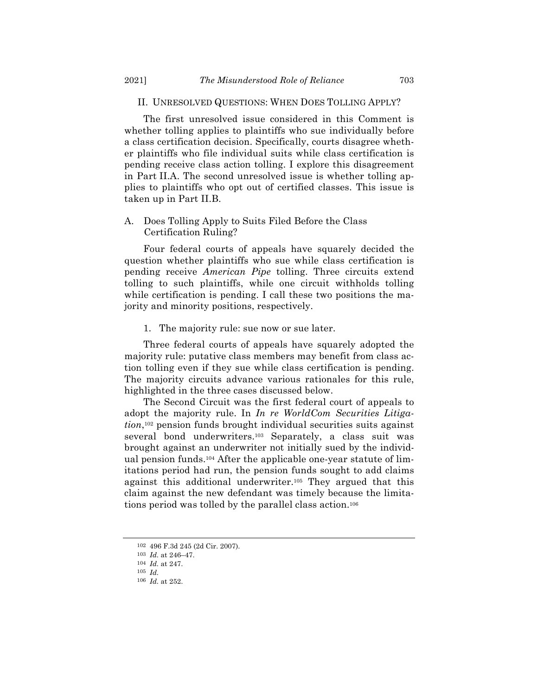### II. UNRESOLVED QUESTIONS: WHEN DOES TOLLING APPLY?

The first unresolved issue considered in this Comment is whether tolling applies to plaintiffs who sue individually before a class certification decision. Specifically, courts disagree whether plaintiffs who file individual suits while class certification is pending receive class action tolling. I explore this disagreement in Part II.A. The second unresolved issue is whether tolling applies to plaintiffs who opt out of certified classes. This issue is taken up in Part II.B.

# A. Does Tolling Apply to Suits Filed Before the Class Certification Ruling?

Four federal courts of appeals have squarely decided the question whether plaintiffs who sue while class certification is pending receive *American Pipe* tolling. Three circuits extend tolling to such plaintiffs, while one circuit withholds tolling while certification is pending. I call these two positions the majority and minority positions, respectively.

### 1. The majority rule: sue now or sue later.

Three federal courts of appeals have squarely adopted the majority rule: putative class members may benefit from class action tolling even if they sue while class certification is pending. The majority circuits advance various rationales for this rule, highlighted in the three cases discussed below.

The Second Circuit was the first federal court of appeals to adopt the majority rule. In *In re WorldCom Securities Litigation*,102 pension funds brought individual securities suits against several bond underwriters.<sup>103</sup> Separately, a class suit was brought against an underwriter not initially sued by the individual pension funds.104 After the applicable one-year statute of limitations period had run, the pension funds sought to add claims against this additional underwriter.105 They argued that this claim against the new defendant was timely because the limitations period was tolled by the parallel class action.106

<sup>102</sup> 496 F.3d 245 (2d Cir. 2007).

<sup>103</sup> *Id.* at 246–47.

<sup>104</sup> *Id.* at 247.

<sup>105</sup> *Id.*

<sup>106</sup> *Id.* at 252.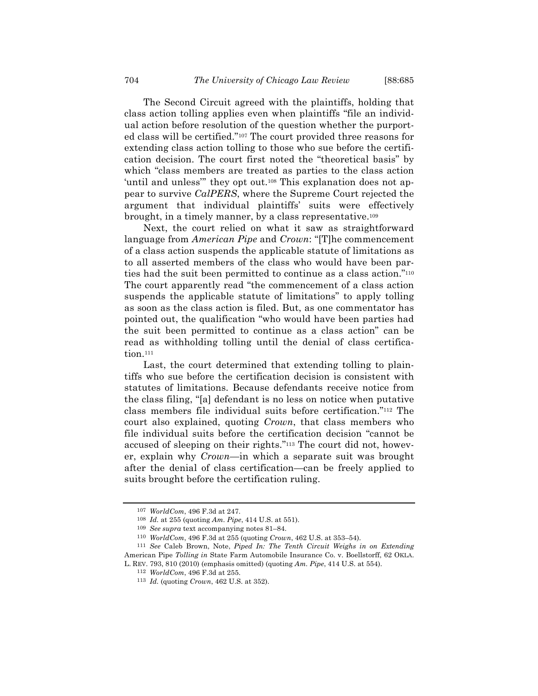The Second Circuit agreed with the plaintiffs, holding that class action tolling applies even when plaintiffs "file an individual action before resolution of the question whether the purported class will be certified."107 The court provided three reasons for extending class action tolling to those who sue before the certification decision. The court first noted the "theoretical basis" by which "class members are treated as parties to the class action 'until and unless'" they opt out.108 This explanation does not appear to survive *CalPERS*, where the Supreme Court rejected the argument that individual plaintiffs' suits were effectively brought, in a timely manner, by a class representative.109

Next, the court relied on what it saw as straightforward language from *American Pipe* and *Crown*: "[T]he commencement of a class action suspends the applicable statute of limitations as to all asserted members of the class who would have been parties had the suit been permitted to continue as a class action."110 The court apparently read "the commencement of a class action suspends the applicable statute of limitations" to apply tolling as soon as the class action is filed. But, as one commentator has pointed out, the qualification "who would have been parties had the suit been permitted to continue as a class action" can be read as withholding tolling until the denial of class certification.<sup>111</sup>

Last, the court determined that extending tolling to plaintiffs who sue before the certification decision is consistent with statutes of limitations. Because defendants receive notice from the class filing, "[a] defendant is no less on notice when putative class members file individual suits before certification."112 The court also explained, quoting *Crown*, that class members who file individual suits before the certification decision "cannot be accused of sleeping on their rights."113 The court did not, however, explain why *Crown*—in which a separate suit was brought after the denial of class certification—can be freely applied to suits brought before the certification ruling.

<sup>107</sup> *WorldCom*, 496 F.3d at 247.

<sup>108</sup> *Id.* at 255 (quoting *Am. Pipe*, 414 U.S. at 551).

<sup>109</sup> *See supra* text accompanying notes 81–84.

<sup>110</sup> *WorldCom*, 496 F.3d at 255 (quoting *Crown*, 462 U.S. at 353–54).

<sup>111</sup> *See* Caleb Brown, Note, *Piped In: The Tenth Circuit Weighs in on Extending*  American Pipe *Tolling in* State Farm Automobile Insurance Co. v. Boellstorff, 62 OKLA. L. REV. 793, 810 (2010) (emphasis omitted) (quoting *Am. Pipe*, 414 U.S. at 554).

<sup>112</sup> *WorldCom*, 496 F.3d at 255.

<sup>113</sup> *Id.* (quoting *Crown*, 462 U.S. at 352).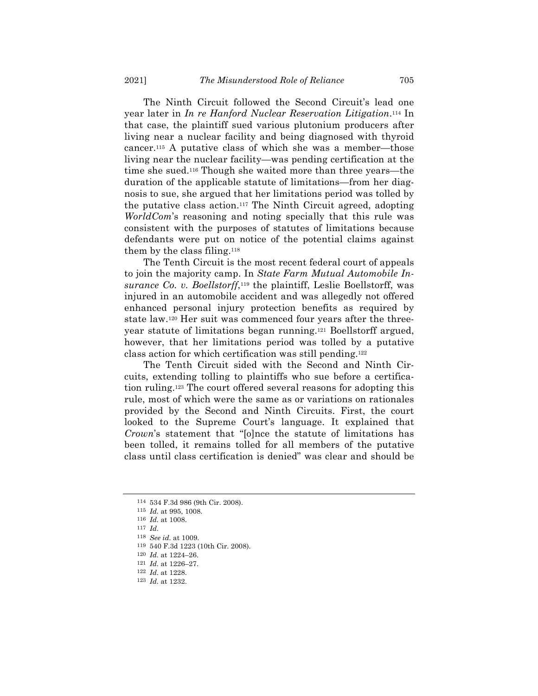The Ninth Circuit followed the Second Circuit's lead one year later in *In re Hanford Nuclear Reservation Litigation*.114 In that case, the plaintiff sued various plutonium producers after living near a nuclear facility and being diagnosed with thyroid cancer.115 A putative class of which she was a member—those living near the nuclear facility—was pending certification at the time she sued.116 Though she waited more than three years—the duration of the applicable statute of limitations—from her diagnosis to sue, she argued that her limitations period was tolled by the putative class action.117 The Ninth Circuit agreed, adopting *WorldCom*'s reasoning and noting specially that this rule was consistent with the purposes of statutes of limitations because defendants were put on notice of the potential claims against them by the class filing.118

The Tenth Circuit is the most recent federal court of appeals to join the majority camp. In *State Farm Mutual Automobile Insurance Co. v. Boellstorff*,<sup>119</sup> the plaintiff, Leslie Boellstorff, was injured in an automobile accident and was allegedly not offered enhanced personal injury protection benefits as required by state law.120 Her suit was commenced four years after the threeyear statute of limitations began running.121 Boellstorff argued, however, that her limitations period was tolled by a putative class action for which certification was still pending.122

The Tenth Circuit sided with the Second and Ninth Circuits, extending tolling to plaintiffs who sue before a certification ruling.123 The court offered several reasons for adopting this rule, most of which were the same as or variations on rationales provided by the Second and Ninth Circuits. First, the court looked to the Supreme Court's language. It explained that *Crown*'s statement that "[o]nce the statute of limitations has been tolled, it remains tolled for all members of the putative class until class certification is denied" was clear and should be

<sup>114</sup> 534 F.3d 986 (9th Cir. 2008).

<sup>115</sup> *Id.* at 995, 1008.

<sup>116</sup> *Id.* at 1008.

<sup>117</sup> *Id.*

<sup>118</sup> *See id.* at 1009.

<sup>119</sup> 540 F.3d 1223 (10th Cir. 2008).

<sup>120</sup> *Id.* at 1224–26.

<sup>121</sup> *Id.* at 1226–27.

<sup>122</sup> *Id.* at 1228.

<sup>123</sup> *Id.* at 1232.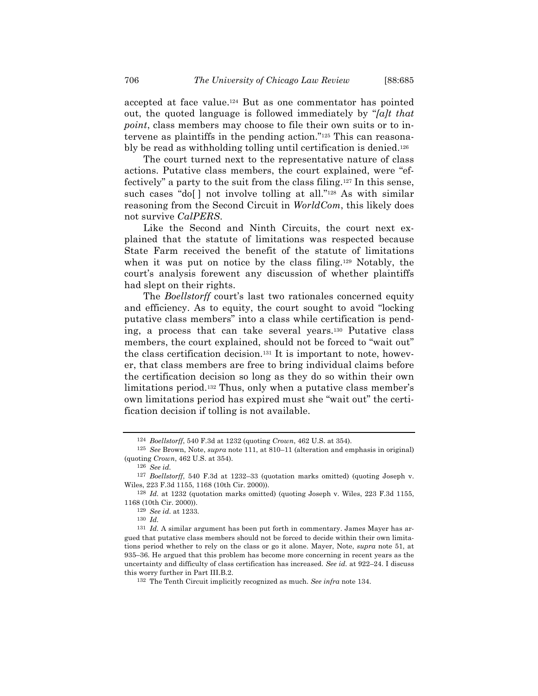accepted at face value.124 But as one commentator has pointed out, the quoted language is followed immediately by "*[a]t that point*, class members may choose to file their own suits or to intervene as plaintiffs in the pending action."125 This can reasonably be read as withholding tolling until certification is denied.<sup>126</sup>

The court turned next to the representative nature of class actions. Putative class members, the court explained, were "effectively" a party to the suit from the class filing.127 In this sense, such cases "do[] not involve tolling at all."<sup>128</sup> As with similar reasoning from the Second Circuit in *WorldCom*, this likely does not survive *CalPERS*.

Like the Second and Ninth Circuits, the court next explained that the statute of limitations was respected because State Farm received the benefit of the statute of limitations when it was put on notice by the class filing.<sup>129</sup> Notably, the court's analysis forewent any discussion of whether plaintiffs had slept on their rights.

The *Boellstorff* court's last two rationales concerned equity and efficiency. As to equity, the court sought to avoid "locking putative class members" into a class while certification is pending, a process that can take several years.130 Putative class members, the court explained, should not be forced to "wait out" the class certification decision.131 It is important to note, however, that class members are free to bring individual claims before the certification decision so long as they do so within their own limitations period.132 Thus, only when a putative class member's own limitations period has expired must she "wait out" the certification decision if tolling is not available.

126 *See id.*

129 *See id.* at 1233.

<sup>124</sup> *Boellstorff*, 540 F.3d at 1232 (quoting *Crown*, 462 U.S. at 354).

<sup>125</sup> *See* Brown, Note, *supra* note 111, at 810–11 (alteration and emphasis in original) (quoting *Crown*, 462 U.S. at 354).

<sup>127</sup> *Boellstorff*, 540 F.3d at 1232–33 (quotation marks omitted) (quoting Joseph v. Wiles, 223 F.3d 1155, 1168 (10th Cir. 2000)).

<sup>128</sup> *Id.* at 1232 (quotation marks omitted) (quoting Joseph v. Wiles, 223 F.3d 1155, 1168 (10th Cir. 2000)).

<sup>130</sup> *Id.*

<sup>131</sup> *Id.* A similar argument has been put forth in commentary. James Mayer has argued that putative class members should not be forced to decide within their own limitations period whether to rely on the class or go it alone. Mayer, Note, *supra* note 51, at 935–36. He argued that this problem has become more concerning in recent years as the uncertainty and difficulty of class certification has increased. *See id.* at 922–24. I discuss this worry further in Part III.B.2.

<sup>132</sup> The Tenth Circuit implicitly recognized as much. *See infra* note 134.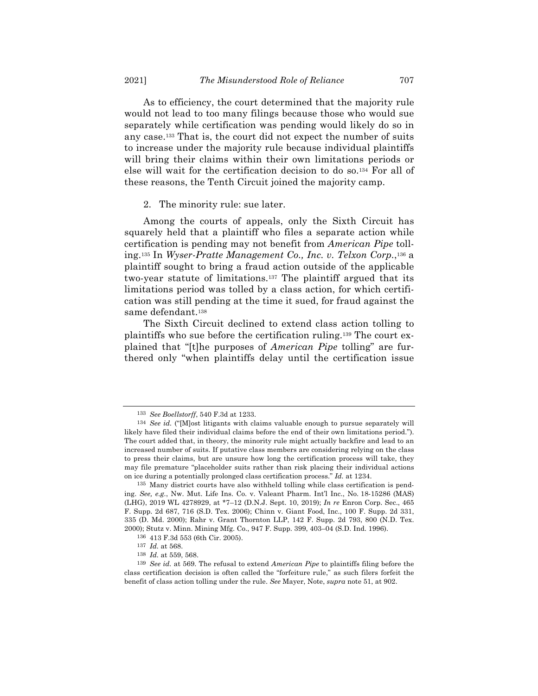As to efficiency, the court determined that the majority rule would not lead to too many filings because those who would sue separately while certification was pending would likely do so in any case.133 That is, the court did not expect the number of suits to increase under the majority rule because individual plaintiffs will bring their claims within their own limitations periods or else will wait for the certification decision to do so.134 For all of these reasons, the Tenth Circuit joined the majority camp.

2. The minority rule: sue later.

Among the courts of appeals, only the Sixth Circuit has squarely held that a plaintiff who files a separate action while certification is pending may not benefit from *American Pipe* tolling.135 In *Wyser-Pratte Management Co., Inc. v. Telxon Corp.*,136 a plaintiff sought to bring a fraud action outside of the applicable two-year statute of limitations.137 The plaintiff argued that its limitations period was tolled by a class action, for which certification was still pending at the time it sued, for fraud against the same defendant.138

The Sixth Circuit declined to extend class action tolling to plaintiffs who sue before the certification ruling.139 The court explained that "[t]he purposes of *American Pipe* tolling" are furthered only "when plaintiffs delay until the certification issue

<sup>133</sup> *See Boellstorff*, 540 F.3d at 1233.

<sup>134</sup> *See id.* ("[M]ost litigants with claims valuable enough to pursue separately will likely have filed their individual claims before the end of their own limitations period."). The court added that, in theory, the minority rule might actually backfire and lead to an increased number of suits. If putative class members are considering relying on the class to press their claims, but are unsure how long the certification process will take, they may file premature "placeholder suits rather than risk placing their individual actions on ice during a potentially prolonged class certification process." *Id.* at 1234.

<sup>135</sup> Many district courts have also withheld tolling while class certification is pending. *See, e.g.*, Nw. Mut. Life Ins. Co. v. Valeant Pharm. Int'l Inc., No. 18-15286 (MAS) (LHG), 2019 WL 4278929, at \*7–12 (D.N.J. Sept. 10, 2019); *In re* Enron Corp. Sec., 465 F. Supp. 2d 687, 716 (S.D. Tex. 2006); Chinn v. Giant Food, Inc., 100 F. Supp. 2d 331, 335 (D. Md. 2000); Rahr v. Grant Thornton LLP, 142 F. Supp. 2d 793, 800 (N.D. Tex. 2000); Stutz v. Minn. Mining Mfg. Co., 947 F. Supp. 399, 403–04 (S.D. Ind. 1996).

<sup>136</sup> 413 F.3d 553 (6th Cir. 2005).

<sup>137</sup> *Id.* at 568.

<sup>138</sup> *Id.* at 559, 568.

<sup>139</sup> *See id.* at 569. The refusal to extend *American Pipe* to plaintiffs filing before the class certification decision is often called the "forfeiture rule," as such filers forfeit the benefit of class action tolling under the rule. *See* Mayer, Note, *supra* note 51, at 902.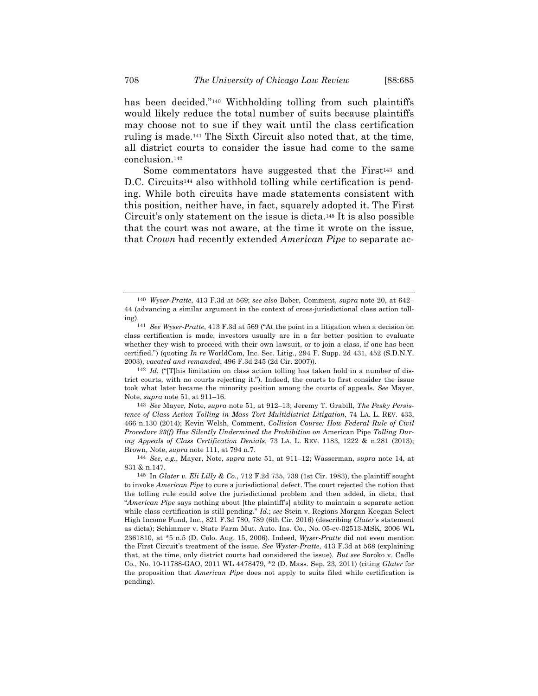has been decided."<sup>140</sup> Withholding tolling from such plaintiffs would likely reduce the total number of suits because plaintiffs may choose not to sue if they wait until the class certification ruling is made.141 The Sixth Circuit also noted that, at the time, all district courts to consider the issue had come to the same conclusion.142

Some commentators have suggested that the First<sup>143</sup> and D.C. Circuits<sup>144</sup> also withhold tolling while certification is pending. While both circuits have made statements consistent with this position, neither have, in fact, squarely adopted it. The First Circuit's only statement on the issue is dicta.145 It is also possible that the court was not aware, at the time it wrote on the issue, that *Crown* had recently extended *American Pipe* to separate ac-

142 *Id.* ("[T]his limitation on class action tolling has taken hold in a number of district courts, with no courts rejecting it."). Indeed, the courts to first consider the issue took what later became the minority position among the courts of appeals. *See* Mayer, Note, *supra* note 51, at 911–16.

143 *See* Mayer, Note, *supra* note 51, at 912–13; Jeremy T. Grabill, *The Pesky Persistence of Class Action Tolling in Mass Tort Multidistrict Litigation*, 74 LA. L. REV. 433, 466 n.130 (2014); Kevin Welsh, Comment, *Collision Course: How Federal Rule of Civil Procedure 23(f) Has Silently Undermined the Prohibition on* American Pipe *Tolling During Appeals of Class Certification Denials*, 73 LA. L. REV. 1183, 1222 & n.281 (2013); Brown, Note, *supra* note 111, at 794 n.7.

<sup>140</sup> *Wyser-Pratte*, 413 F.3d at 569; *see also* Bober, Comment, *supra* note 20, at 642– 44 (advancing a similar argument in the context of cross-jurisdictional class action tolling).

<sup>141</sup> *See Wyser-Pratte*, 413 F.3d at 569 ("At the point in a litigation when a decision on class certification is made, investors usually are in a far better position to evaluate whether they wish to proceed with their own lawsuit, or to join a class, if one has been certified.") (quoting *In re* WorldCom, Inc. Sec. Litig., 294 F. Supp. 2d 431, 452 (S.D.N.Y. 2003), *vacated and remanded*, 496 F.3d 245 (2d Cir. 2007)).

<sup>144</sup> *See, e.g.*, Mayer, Note, *supra* note 51, at 911–12; Wasserman, *supra* note 14, at 831 & n.147.

<sup>145</sup> In *Glater v. Eli Lilly & Co.*, 712 F.2d 735, 739 (1st Cir. 1983), the plaintiff sought to invoke *American Pipe* to cure a jurisdictional defect. The court rejected the notion that the tolling rule could solve the jurisdictional problem and then added, in dicta, that "*American Pipe* says nothing about [the plaintiff's] ability to maintain a separate action while class certification is still pending." *Id.*; *see* Stein v. Regions Morgan Keegan Select High Income Fund, Inc., 821 F.3d 780, 789 (6th Cir. 2016) (describing *Glater*'s statement as dicta); Schimmer v. State Farm Mut. Auto. Ins. Co., No. 05-cv-02513-MSK, 2006 WL 2361810, at \*5 n.5 (D. Colo. Aug. 15, 2006). Indeed, *Wyser-Pratte* did not even mention the First Circuit's treatment of the issue. *See Wyster-Pratte*, 413 F.3d at 568 (explaining that, at the time, only district courts had considered the issue). *But see* Soroko v. Cadle Co., No. 10-11788-GAO, 2011 WL 4478479, \*2 (D. Mass. Sep. 23, 2011) (citing *Glater* for the proposition that *American Pipe* does not apply to suits filed while certification is pending).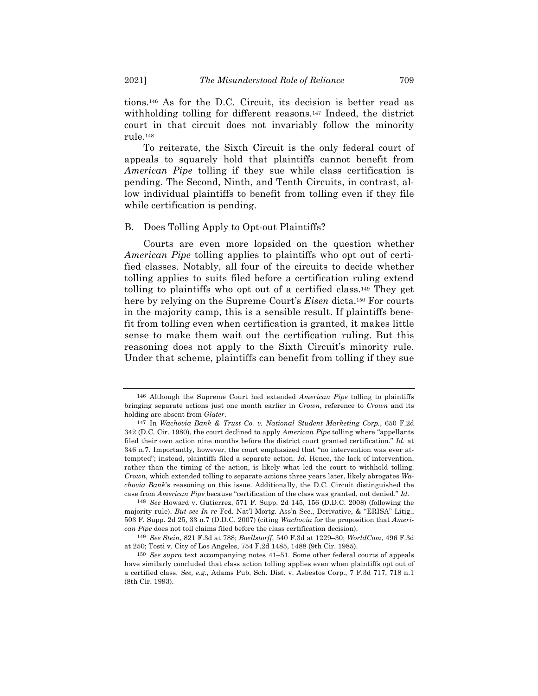tions.146 As for the D.C. Circuit, its decision is better read as withholding tolling for different reasons.<sup>147</sup> Indeed, the district court in that circuit does not invariably follow the minority rule.148

To reiterate, the Sixth Circuit is the only federal court of appeals to squarely hold that plaintiffs cannot benefit from *American Pipe* tolling if they sue while class certification is pending. The Second, Ninth, and Tenth Circuits, in contrast, allow individual plaintiffs to benefit from tolling even if they file while certification is pending.

#### B. Does Tolling Apply to Opt-out Plaintiffs?

Courts are even more lopsided on the question whether *American Pipe* tolling applies to plaintiffs who opt out of certified classes. Notably, all four of the circuits to decide whether tolling applies to suits filed before a certification ruling extend tolling to plaintiffs who opt out of a certified class.149 They get here by relying on the Supreme Court's *Eisen* dicta.150 For courts in the majority camp, this is a sensible result. If plaintiffs benefit from tolling even when certification is granted, it makes little sense to make them wait out the certification ruling. But this reasoning does not apply to the Sixth Circuit's minority rule. Under that scheme, plaintiffs can benefit from tolling if they sue

<sup>146</sup> Although the Supreme Court had extended *American Pipe* tolling to plaintiffs bringing separate actions just one month earlier in *Crown*, reference to *Crown* and its holding are absent from *Glater*.

<sup>147</sup> In *Wachovia Bank & Trust Co. v. National Student Marketing Corp.*, 650 F.2d 342 (D.C. Cir. 1980), the court declined to apply *American Pipe* tolling where "appellants filed their own action nine months before the district court granted certification." *Id.* at 346 n.7. Importantly, however, the court emphasized that "no intervention was ever attempted"; instead, plaintiffs filed a separate action. *Id.* Hence, the lack of intervention, rather than the timing of the action, is likely what led the court to withhold tolling. *Crown*, which extended tolling to separate actions three years later, likely abrogates *Wachovia Bank*'s reasoning on this issue. Additionally, the D.C. Circuit distinguished the case from *American Pipe* because "certification of the class was granted, not denied." *Id.*

<sup>148</sup> *See* Howard v. Gutierrez, 571 F. Supp. 2d 145, 156 (D.D.C. 2008) (following the majority rule). *But see In re* Fed. Nat'l Mortg. Ass'n Sec., Derivative, & "ERISA" Litig., 503 F. Supp. 2d 25, 33 n.7 (D.D.C. 2007) (citing *Wachovia* for the proposition that *American Pipe* does not toll claims filed before the class certification decision).

<sup>149</sup> *See Stein*, 821 F.3d at 788; *Boellstorff*, 540 F.3d at 1229–30; *WorldCom*, 496 F.3d at 250; Tosti v. City of Los Angeles, 754 F.2d 1485, 1488 (9th Cir. 1985).

<sup>150</sup> *See supra* text accompanying notes 41–51. Some other federal courts of appeals have similarly concluded that class action tolling applies even when plaintiffs opt out of a certified class. *See, e.g.*, Adams Pub. Sch. Dist. v. Asbestos Corp., 7 F.3d 717, 718 n.1 (8th Cir. 1993).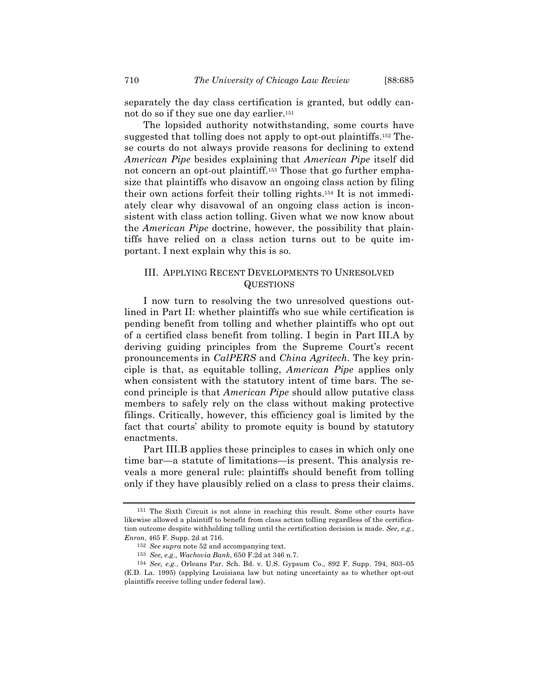separately the day class certification is granted, but oddly cannot do so if they sue one day earlier.151

The lopsided authority notwithstanding, some courts have suggested that tolling does not apply to opt-out plaintiffs.152 These courts do not always provide reasons for declining to extend *American Pipe* besides explaining that *American Pipe* itself did not concern an opt-out plaintiff.153 Those that go further emphasize that plaintiffs who disavow an ongoing class action by filing their own actions forfeit their tolling rights.154 It is not immediately clear why disavowal of an ongoing class action is inconsistent with class action tolling. Given what we now know about the *American Pipe* doctrine, however, the possibility that plaintiffs have relied on a class action turns out to be quite important. I next explain why this is so.

### III. APPLYING RECENT DEVELOPMENTS TO UNRESOLVED **QUESTIONS**

I now turn to resolving the two unresolved questions outlined in Part II: whether plaintiffs who sue while certification is pending benefit from tolling and whether plaintiffs who opt out of a certified class benefit from tolling. I begin in Part III.A by deriving guiding principles from the Supreme Court's recent pronouncements in *CalPERS* and *China Agritech*. The key principle is that, as equitable tolling, *American Pipe* applies only when consistent with the statutory intent of time bars. The second principle is that *American Pipe* should allow putative class members to safely rely on the class without making protective filings. Critically, however, this efficiency goal is limited by the fact that courts' ability to promote equity is bound by statutory enactments.

Part III.B applies these principles to cases in which only one time bar—a statute of limitations—is present. This analysis reveals a more general rule: plaintiffs should benefit from tolling only if they have plausibly relied on a class to press their claims.

<sup>151</sup> The Sixth Circuit is not alone in reaching this result. Some other courts have likewise allowed a plaintiff to benefit from class action tolling regardless of the certification outcome despite withholding tolling until the certification decision is made. *See, e.g.*, *Enron*, 465 F. Supp. 2d at 716.

<sup>152</sup> *See supra* note 52 and accompanying text.

<sup>153</sup> *See, e.g.*, *Wachovia Bank*, 650 F.2d at 346 n.7.

<sup>154</sup> *See, e.g.*, Orleans Par. Sch. Bd. v. U.S. Gypsum Co., 892 F. Supp. 794, 803–05 (E.D. La. 1995) (applying Louisiana law but noting uncertainty as to whether opt-out plaintiffs receive tolling under federal law).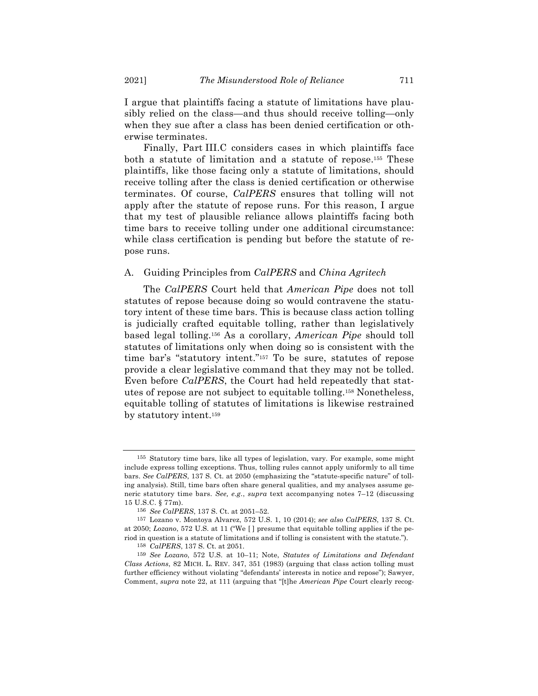I argue that plaintiffs facing a statute of limitations have plausibly relied on the class—and thus should receive tolling—only when they sue after a class has been denied certification or otherwise terminates.

Finally, Part III.C considers cases in which plaintiffs face both a statute of limitation and a statute of repose.155 These plaintiffs, like those facing only a statute of limitations, should receive tolling after the class is denied certification or otherwise terminates. Of course, *CalPERS* ensures that tolling will not apply after the statute of repose runs. For this reason, I argue that my test of plausible reliance allows plaintiffs facing both time bars to receive tolling under one additional circumstance: while class certification is pending but before the statute of repose runs.

### A. Guiding Principles from *CalPERS* and *China Agritech*

The *CalPERS* Court held that *American Pipe* does not toll statutes of repose because doing so would contravene the statutory intent of these time bars. This is because class action tolling is judicially crafted equitable tolling, rather than legislatively based legal tolling.156 As a corollary, *American Pipe* should toll statutes of limitations only when doing so is consistent with the time bar's "statutory intent."157 To be sure, statutes of repose provide a clear legislative command that they may not be tolled. Even before *CalPERS*, the Court had held repeatedly that statutes of repose are not subject to equitable tolling.158 Nonetheless, equitable tolling of statutes of limitations is likewise restrained by statutory intent.159

<sup>155</sup> Statutory time bars, like all types of legislation, vary. For example, some might include express tolling exceptions. Thus, tolling rules cannot apply uniformly to all time bars. *See CalPERS*, 137 S. Ct. at 2050 (emphasizing the "statute-specific nature" of tolling analysis). Still, time bars often share general qualities, and my analyses assume generic statutory time bars. *See, e.g.*, *supra* text accompanying notes 7–12 (discussing 15 U.S.C. § 77m).

<sup>156</sup> *See CalPERS*, 137 S. Ct. at 2051–52.

<sup>157</sup> Lozano v. Montoya Alvarez, 572 U.S. 1, 10 (2014); *see also CalPERS*, 137 S. Ct. at 2050; *Lozano*, 572 U.S. at 11 ("We [ ] presume that equitable tolling applies if the period in question is a statute of limitations and if tolling is consistent with the statute.").

<sup>158</sup> *CalPERS*, 137 S. Ct. at 2051.

<sup>159</sup> *See Lozano*, 572 U.S. at 10–11; Note, *Statutes of Limitations and Defendant Class Actions*, 82 MICH. L. REV. 347, 351 (1983) (arguing that class action tolling must further efficiency without violating "defendants' interests in notice and repose"); Sawyer, Comment, *supra* note 22, at 111 (arguing that "[t]he *American Pipe* Court clearly recog-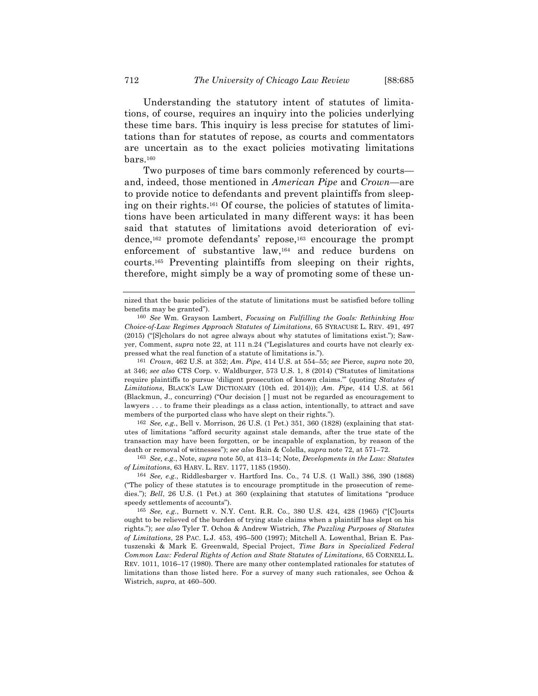Understanding the statutory intent of statutes of limitations, of course, requires an inquiry into the policies underlying these time bars. This inquiry is less precise for statutes of limitations than for statutes of repose, as courts and commentators are uncertain as to the exact policies motivating limitations bars.160

Two purposes of time bars commonly referenced by courts and, indeed, those mentioned in *American Pipe* and *Crown*—are to provide notice to defendants and prevent plaintiffs from sleeping on their rights.161 Of course, the policies of statutes of limitations have been articulated in many different ways: it has been said that statutes of limitations avoid deterioration of evidence,162 promote defendants' repose,163 encourage the prompt enforcement of substantive law,164 and reduce burdens on courts.165 Preventing plaintiffs from sleeping on their rights, therefore, might simply be a way of promoting some of these un-

161 *Crown*, 462 U.S. at 352; *Am. Pipe*, 414 U.S. at 554–55; *see* Pierce, *supra* note 20, at 346; *see also* CTS Corp. v. Waldburger, 573 U.S. 1, 8 (2014) ("Statutes of limitations require plaintiffs to pursue 'diligent prosecution of known claims.'" (quoting *Statutes of Limitations*, BLACK'S LAW DICTIONARY (10th ed. 2014))); *Am. Pipe*, 414 U.S. at 561 (Blackmun, J., concurring) ("Our decision [ ] must not be regarded as encouragement to lawyers . . . to frame their pleadings as a class action, intentionally, to attract and save members of the purported class who have slept on their rights.").

162 *See, e.g.*, Bell v. Morrison, 26 U.S. (1 Pet.) 351, 360 (1828) (explaining that statutes of limitations "afford security against stale demands, after the true state of the transaction may have been forgotten, or be incapable of explanation, by reason of the death or removal of witnesses"); *see also* Bain & Colella, *supra* note 72, at 571–72.

163 *See, e.g.*, Note, *supra* note 50, at 413–14; Note, *Developments in the Law: Statutes of Limitations*, 63 HARV. L. REV. 1177, 1185 (1950).

164 *See, e.g.*, Riddlesbarger v. Hartford Ins. Co., 74 U.S. (1 Wall.) 386, 390 (1868) ("The policy of these statutes is to encourage promptitude in the prosecution of remedies."); *Bell*, 26 U.S. (1 Pet.) at 360 (explaining that statutes of limitations "produce speedy settlements of accounts").

165 *See, e.g.*, Burnett v. N.Y. Cent. R.R. Co., 380 U.S. 424, 428 (1965) ("[C]ourts ought to be relieved of the burden of trying stale claims when a plaintiff has slept on his rights."); *see also* Tyler T. Ochoa & Andrew Wistrich, *The Puzzling Purposes of Statutes of Limitations*, 28 PAC. L.J. 453, 495–500 (1997); Mitchell A. Lowenthal, Brian E. Pastuszenski & Mark E. Greenwald, Special Project, *Time Bars in Specialized Federal Common Law: Federal Rights of Action and State Statutes of Limitations*, 65 CORNELL L. REV. 1011, 1016–17 (1980). There are many other contemplated rationales for statutes of limitations than those listed here. For a survey of many such rationales, see Ochoa & Wistrich, *supra*, at 460–500.

nized that the basic policies of the statute of limitations must be satisfied before tolling benefits may be granted").

<sup>160</sup> *See* Wm. Grayson Lambert, *Focusing on Fulfilling the Goals: Rethinking How Choice-of-Law Regimes Approach Statutes of Limitations*, 65 SYRACUSE L. REV. 491, 497 (2015) ("[S]cholars do not agree always about why statutes of limitations exist."); Sawyer, Comment, *supra* note 22, at 111 n.24 ("Legislatures and courts have not clearly expressed what the real function of a statute of limitations is.").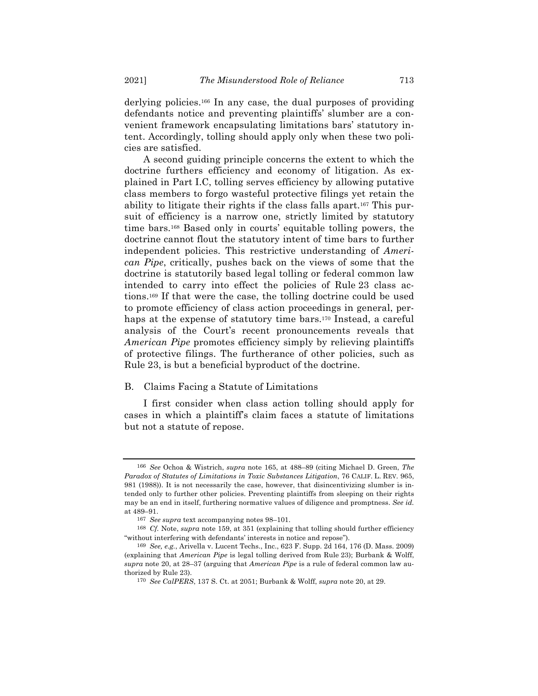derlying policies.166 In any case, the dual purposes of providing defendants notice and preventing plaintiffs' slumber are a convenient framework encapsulating limitations bars' statutory intent. Accordingly, tolling should apply only when these two policies are satisfied.

A second guiding principle concerns the extent to which the doctrine furthers efficiency and economy of litigation. As explained in Part I.C, tolling serves efficiency by allowing putative class members to forgo wasteful protective filings yet retain the ability to litigate their rights if the class falls apart.167 This pursuit of efficiency is a narrow one, strictly limited by statutory time bars.168 Based only in courts' equitable tolling powers, the doctrine cannot flout the statutory intent of time bars to further independent policies. This restrictive understanding of *American Pipe*, critically, pushes back on the views of some that the doctrine is statutorily based legal tolling or federal common law intended to carry into effect the policies of Rule 23 class actions.169 If that were the case, the tolling doctrine could be used to promote efficiency of class action proceedings in general, perhaps at the expense of statutory time bars.<sup>170</sup> Instead, a careful analysis of the Court's recent pronouncements reveals that *American Pipe* promotes efficiency simply by relieving plaintiffs of protective filings. The furtherance of other policies, such as Rule 23, is but a beneficial byproduct of the doctrine.

#### B. Claims Facing a Statute of Limitations

I first consider when class action tolling should apply for cases in which a plaintiff's claim faces a statute of limitations but not a statute of repose.

<sup>166</sup> *See* Ochoa & Wistrich, *supra* note 165, at 488–89 (citing Michael D. Green, *The Paradox of Statutes of Limitations in Toxic Substances Litigation*, 76 CALIF. L. REV. 965, 981 (1988)). It is not necessarily the case, however, that disincentivizing slumber is intended only to further other policies. Preventing plaintiffs from sleeping on their rights may be an end in itself, furthering normative values of diligence and promptness. *See id.* at 489–91.

<sup>167</sup> *See supra* text accompanying notes 98–101.

<sup>168</sup> *Cf.* Note, *supra* note 159, at 351 (explaining that tolling should further efficiency "without interfering with defendants' interests in notice and repose").

<sup>169</sup> *See, e.g.*, Arivella v. Lucent Techs., Inc., 623 F. Supp. 2d 164, 176 (D. Mass. 2009) (explaining that *American Pipe* is legal tolling derived from Rule 23); Burbank & Wolff, *supra* note 20, at 28–37 (arguing that *American Pipe* is a rule of federal common law authorized by Rule 23).

<sup>170</sup> *See CalPERS*, 137 S. Ct. at 2051; Burbank & Wolff, *supra* note 20, at 29.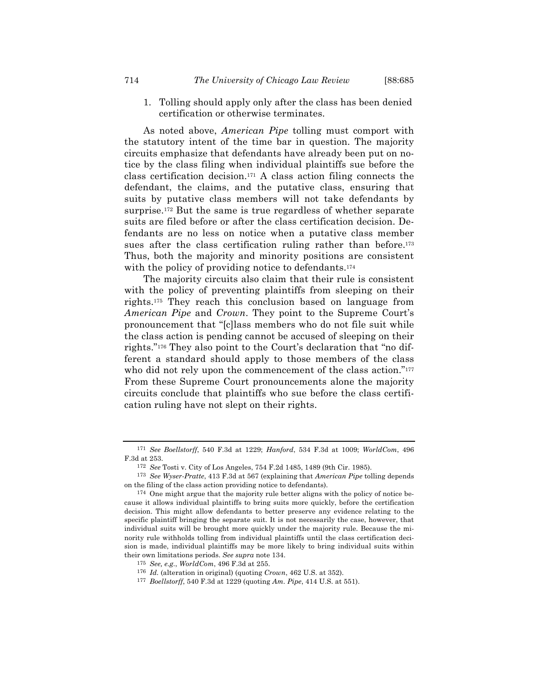1. Tolling should apply only after the class has been denied certification or otherwise terminates.

As noted above, *American Pipe* tolling must comport with the statutory intent of the time bar in question. The majority circuits emphasize that defendants have already been put on notice by the class filing when individual plaintiffs sue before the class certification decision.171 A class action filing connects the defendant, the claims, and the putative class, ensuring that suits by putative class members will not take defendants by surprise.172 But the same is true regardless of whether separate suits are filed before or after the class certification decision. Defendants are no less on notice when a putative class member sues after the class certification ruling rather than before.<sup>173</sup> Thus, both the majority and minority positions are consistent with the policy of providing notice to defendants.<sup>174</sup>

The majority circuits also claim that their rule is consistent with the policy of preventing plaintiffs from sleeping on their rights.175 They reach this conclusion based on language from *American Pipe* and *Crown*. They point to the Supreme Court's pronouncement that "[c]lass members who do not file suit while the class action is pending cannot be accused of sleeping on their rights."176 They also point to the Court's declaration that "no different a standard should apply to those members of the class who did not rely upon the commencement of the class action."<sup>177</sup> From these Supreme Court pronouncements alone the majority circuits conclude that plaintiffs who sue before the class certification ruling have not slept on their rights.

<sup>171</sup> *See Boellstorff*, 540 F.3d at 1229; *Hanford*, 534 F.3d at 1009; *WorldCom*, 496 F.3d at 253.

<sup>172</sup> *See* Tosti v. City of Los Angeles, 754 F.2d 1485, 1489 (9th Cir. 1985).

<sup>173</sup> *See Wyser-Pratte*, 413 F.3d at 567 (explaining that *American Pipe* tolling depends on the filing of the class action providing notice to defendants).

<sup>174</sup> One might argue that the majority rule better aligns with the policy of notice because it allows individual plaintiffs to bring suits more quickly, before the certification decision. This might allow defendants to better preserve any evidence relating to the specific plaintiff bringing the separate suit. It is not necessarily the case, however, that individual suits will be brought more quickly under the majority rule. Because the minority rule withholds tolling from individual plaintiffs until the class certification decision is made, individual plaintiffs may be more likely to bring individual suits within their own limitations periods. *See supra* note 134.

<sup>175</sup> *See, e.g.*, *WorldCom*, 496 F.3d at 255.

<sup>176</sup> *Id.* (alteration in original) (quoting *Crown*, 462 U.S. at 352).

<sup>177</sup> *Boellstorff*, 540 F.3d at 1229 (quoting *Am. Pipe*, 414 U.S. at 551).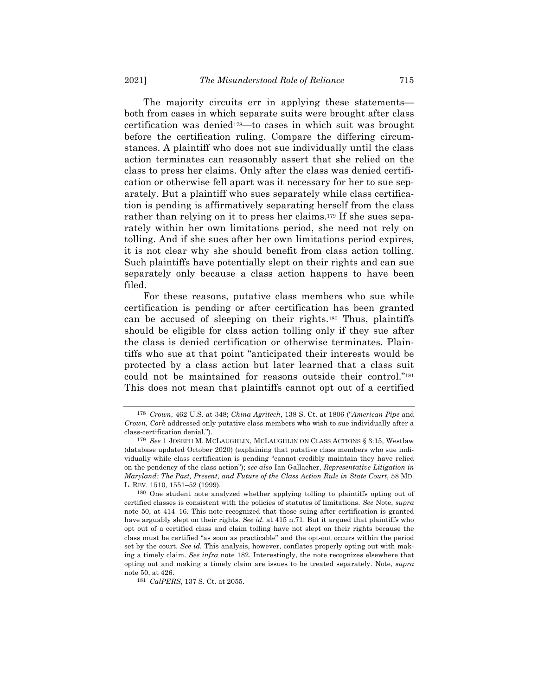The majority circuits err in applying these statements both from cases in which separate suits were brought after class certification was denied178—to cases in which suit was brought before the certification ruling. Compare the differing circumstances. A plaintiff who does not sue individually until the class action terminates can reasonably assert that she relied on the class to press her claims. Only after the class was denied certification or otherwise fell apart was it necessary for her to sue separately. But a plaintiff who sues separately while class certification is pending is affirmatively separating herself from the class rather than relying on it to press her claims.179 If she sues separately within her own limitations period, she need not rely on tolling. And if she sues after her own limitations period expires, it is not clear why she should benefit from class action tolling. Such plaintiffs have potentially slept on their rights and can sue separately only because a class action happens to have been filed.

For these reasons, putative class members who sue while certification is pending or after certification has been granted can be accused of sleeping on their rights.180 Thus, plaintiffs should be eligible for class action tolling only if they sue after the class is denied certification or otherwise terminates. Plaintiffs who sue at that point "anticipated their interests would be protected by a class action but later learned that a class suit could not be maintained for reasons outside their control."181 This does not mean that plaintiffs cannot opt out of a certified

<sup>178</sup> *Crown*, 462 U.S. at 348; *China Agritech*, 138 S. Ct. at 1806 ("*American Pipe* and *Crown, Cork* addressed only putative class members who wish to sue individually after a class-certification denial.").

<sup>179</sup> *See* 1 JOSEPH M. MCLAUGHLIN, MCLAUGHLIN ON CLASS ACTIONS § 3:15, Westlaw (database updated October 2020) (explaining that putative class members who sue individually while class certification is pending "cannot credibly maintain they have relied on the pendency of the class action"); *see also* Ian Gallacher, *Representative Litigation in Maryland: The Past, Present, and Future of the Class Action Rule in State Court*, 58 MD. L. REV. 1510, 1551–52 (1999).

<sup>180</sup> One student note analyzed whether applying tolling to plaintiffs opting out of certified classes is consistent with the policies of statutes of limitations. *See* Note, *supra* note 50, at 414–16. This note recognized that those suing after certification is granted have arguably slept on their rights. *See id.* at 415 n.71. But it argued that plaintiffs who opt out of a certified class and claim tolling have not slept on their rights because the class must be certified "as soon as practicable" and the opt-out occurs within the period set by the court. *See id.* This analysis, however, conflates properly opting out with making a timely claim. *See infra* note 182. Interestingly, the note recognizes elsewhere that opting out and making a timely claim are issues to be treated separately. Note, *supra* note 50, at 426.

<sup>181</sup> *CalPERS*, 137 S. Ct. at 2055.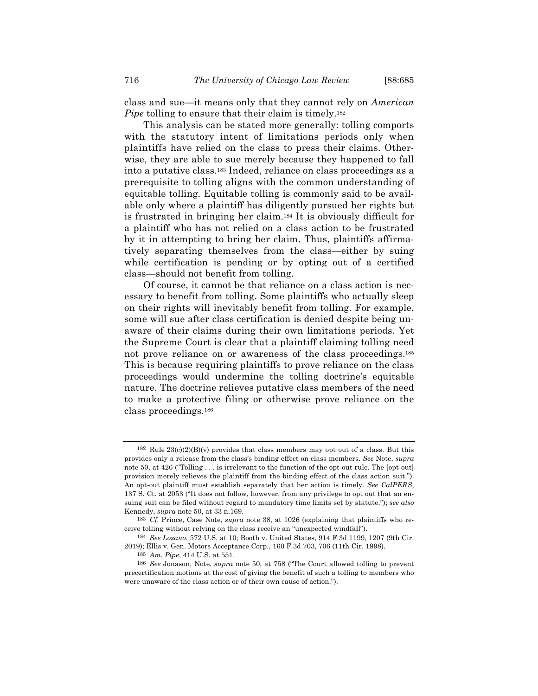class and sue—it means only that they cannot rely on *American Pipe* tolling to ensure that their claim is timely.<sup>182</sup>

This analysis can be stated more generally: tolling comports with the statutory intent of limitations periods only when plaintiffs have relied on the class to press their claims. Otherwise, they are able to sue merely because they happened to fall into a putative class.183 Indeed, reliance on class proceedings as a prerequisite to tolling aligns with the common understanding of equitable tolling. Equitable tolling is commonly said to be available only where a plaintiff has diligently pursued her rights but is frustrated in bringing her claim.184 It is obviously difficult for a plaintiff who has not relied on a class action to be frustrated by it in attempting to bring her claim. Thus, plaintiffs affirmatively separating themselves from the class—either by suing while certification is pending or by opting out of a certified class—should not benefit from tolling.

Of course, it cannot be that reliance on a class action is necessary to benefit from tolling. Some plaintiffs who actually sleep on their rights will inevitably benefit from tolling. For example, some will sue after class certification is denied despite being unaware of their claims during their own limitations periods. Yet the Supreme Court is clear that a plaintiff claiming tolling need not prove reliance on or awareness of the class proceedings.<sup>185</sup> This is because requiring plaintiffs to prove reliance on the class proceedings would undermine the tolling doctrine's equitable nature. The doctrine relieves putative class members of the need to make a protective filing or otherwise prove reliance on the class proceedings.186

 $182$  Rule  $23(c)(2)(B)(v)$  provides that class members may opt out of a class. But this provides only a release from the class's binding effect on class members. *See* Note, *supra* note 50, at 426 ("Tolling . . . is irrelevant to the function of the opt-out rule. The [opt-out] provision merely relieves the plaintiff from the binding effect of the class action suit."). An opt-out plaintiff must establish separately that her action is timely. *See CalPERS*, 137 S. Ct. at 2053 ("It does not follow, however, from any privilege to opt out that an ensuing suit can be filed without regard to mandatory time limits set by statute."); *see also* Kennedy, *supra* note 50, at 33 n.169.

<sup>183</sup> *Cf.* Prince, Case Note, *supra* note 38, at 1026 (explaining that plaintiffs who receive tolling without relying on the class receive an "unexpected windfall").

<sup>184</sup> *See Lozano*, 572 U.S. at 10; Booth v. United States, 914 F.3d 1199, 1207 (9th Cir. 2019); Ellis v. Gen. Motors Acceptance Corp., 160 F.3d 703, 706 (11th Cir. 1998).

<sup>185</sup> *Am. Pipe*, 414 U.S. at 551.

<sup>186</sup> *See* Jonason, Note, *supra* note 50, at 758 ("The Court allowed tolling to prevent precertification motions at the cost of giving the benefit of such a tolling to members who were unaware of the class action or of their own cause of action.").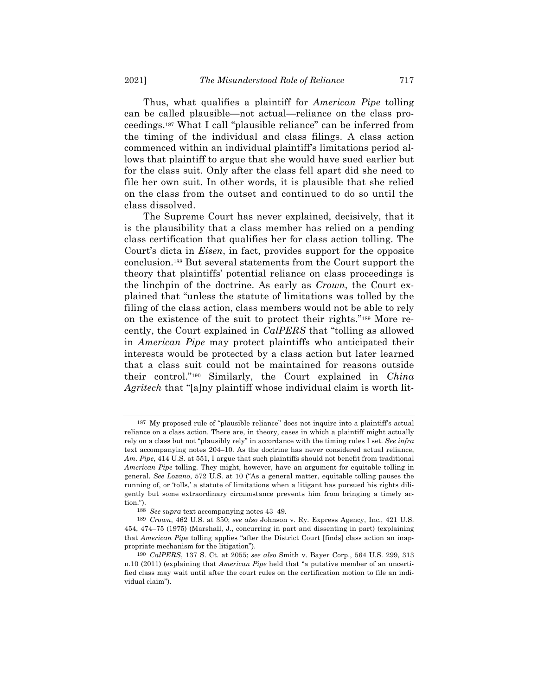Thus, what qualifies a plaintiff for *American Pipe* tolling can be called plausible—not actual—reliance on the class proceedings.187 What I call "plausible reliance" can be inferred from the timing of the individual and class filings. A class action commenced within an individual plaintiff's limitations period allows that plaintiff to argue that she would have sued earlier but for the class suit. Only after the class fell apart did she need to file her own suit. In other words, it is plausible that she relied on the class from the outset and continued to do so until the class dissolved.

The Supreme Court has never explained, decisively, that it is the plausibility that a class member has relied on a pending class certification that qualifies her for class action tolling. The Court's dicta in *Eisen*, in fact, provides support for the opposite conclusion.188 But several statements from the Court support the theory that plaintiffs' potential reliance on class proceedings is the linchpin of the doctrine. As early as *Crown*, the Court explained that "unless the statute of limitations was tolled by the filing of the class action, class members would not be able to rely on the existence of the suit to protect their rights."189 More recently, the Court explained in *CalPERS* that "tolling as allowed in *American Pipe* may protect plaintiffs who anticipated their interests would be protected by a class action but later learned that a class suit could not be maintained for reasons outside their control."190 Similarly, the Court explained in *China Agritech* that "[a]ny plaintiff whose individual claim is worth lit-

<sup>187</sup> My proposed rule of "plausible reliance" does not inquire into a plaintiff's actual reliance on a class action. There are, in theory, cases in which a plaintiff might actually rely on a class but not "plausibly rely" in accordance with the timing rules I set. *See infra* text accompanying notes 204–10. As the doctrine has never considered actual reliance, *Am. Pipe*, 414 U.S. at 551, I argue that such plaintiffs should not benefit from traditional *American Pipe* tolling. They might, however, have an argument for equitable tolling in general. *See Lozano*, 572 U.S. at 10 ("As a general matter, equitable tolling pauses the running of, or 'tolls,' a statute of limitations when a litigant has pursued his rights diligently but some extraordinary circumstance prevents him from bringing a timely action.").

<sup>188</sup> *See supra* text accompanying notes 43–49.

<sup>189</sup> *Crown*, 462 U.S. at 350; *see also* Johnson v. Ry. Express Agency, Inc., 421 U.S. 454, 474–75 (1975) (Marshall, J., concurring in part and dissenting in part) (explaining that *American Pipe* tolling applies "after the District Court [finds] class action an inappropriate mechanism for the litigation").

<sup>190</sup> *CalPERS*, 137 S. Ct. at 2055; *see also* Smith v. Bayer Corp., 564 U.S. 299, 313 n.10 (2011) (explaining that *American Pipe* held that "a putative member of an uncertified class may wait until after the court rules on the certification motion to file an individual claim").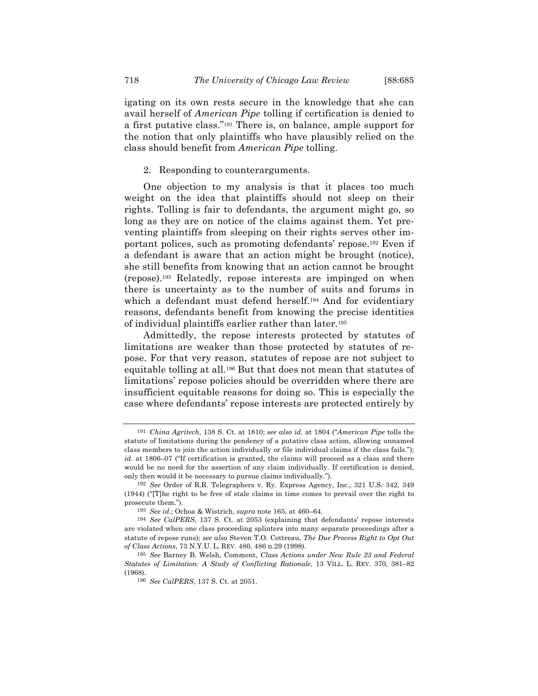igating on its own rests secure in the knowledge that she can avail herself of *American Pipe* tolling if certification is denied to a first putative class."191 There is, on balance, ample support for the notion that only plaintiffs who have plausibly relied on the class should benefit from *American Pipe* tolling.

### 2. Responding to counterarguments.

One objection to my analysis is that it places too much weight on the idea that plaintiffs should not sleep on their rights. Tolling is fair to defendants, the argument might go, so long as they are on notice of the claims against them. Yet preventing plaintiffs from sleeping on their rights serves other important polices, such as promoting defendants' repose.192 Even if a defendant is aware that an action might be brought (notice), she still benefits from knowing that an action cannot be brought (repose).193 Relatedly, repose interests are impinged on when there is uncertainty as to the number of suits and forums in which a defendant must defend herself.<sup>194</sup> And for evidentiary reasons, defendants benefit from knowing the precise identities of individual plaintiffs earlier rather than later.195

Admittedly, the repose interests protected by statutes of limitations are weaker than those protected by statutes of repose. For that very reason, statutes of repose are not subject to equitable tolling at all.196 But that does not mean that statutes of limitations' repose policies should be overridden where there are insufficient equitable reasons for doing so. This is especially the case where defendants' repose interests are protected entirely by

<sup>191</sup> *China Agritech*, 138 S. Ct. at 1810; *see also id.* at 1804 ("*American Pipe* tolls the statute of limitations during the pendency of a putative class action, allowing unnamed class members to join the action individually or file individual claims if the class fails."); id. at 1806–07 ("If certification is granted, the claims will proceed as a class and there would be no need for the assertion of any claim individually. If certification is denied, only then would it be necessary to pursue claims individually.").

<sup>192</sup> *See* Order of R.R. Telegraphers v. Ry. Express Agency, Inc., 321 U.S. 342, 349 (1944) ("[T]he right to be free of stale claims in time comes to prevail over the right to prosecute them.").

<sup>193</sup> *See id.*; Ochoa & Wistrich, *supra* note 165, at 460–64.

<sup>194</sup> *See CalPERS*, 137 S. Ct. at 2053 (explaining that defendants' repose interests are violated when one class proceeding splinters into many separate proceedings after a statute of repose runs); *see also* Steven T.O. Cottreau, *The Due Process Right to Opt Out of Class Actions*, 73 N.Y.U. L. REV. 480, 486 n.29 (1998).

<sup>195</sup> *See* Barney B. Welsh, Comment, *Class Actions under New Rule 23 and Federal Statutes of Limitation: A Study of Conflicting Rationale*, 13 VILL. L. REV. 370, 381–82 (1968).

<sup>196</sup> *See CalPERS*, 137 S. Ct. at 2051.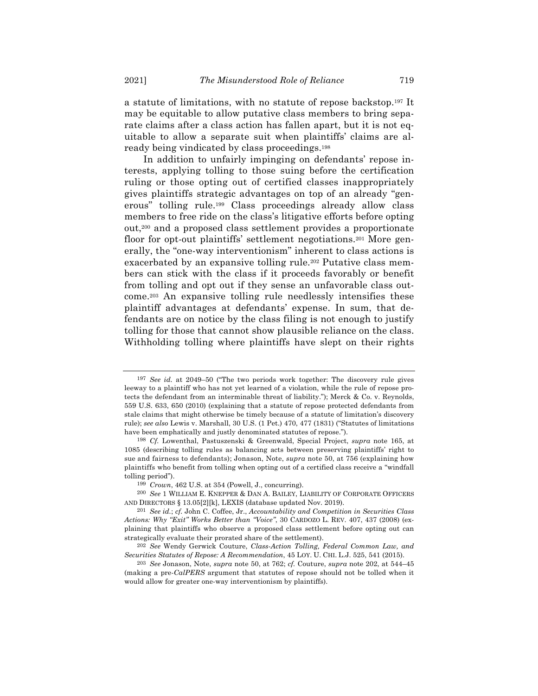a statute of limitations, with no statute of repose backstop.197 It may be equitable to allow putative class members to bring separate claims after a class action has fallen apart, but it is not equitable to allow a separate suit when plaintiffs' claims are already being vindicated by class proceedings.198

In addition to unfairly impinging on defendants' repose interests, applying tolling to those suing before the certification ruling or those opting out of certified classes inappropriately gives plaintiffs strategic advantages on top of an already "generous" tolling rule.199 Class proceedings already allow class members to free ride on the class's litigative efforts before opting out,200 and a proposed class settlement provides a proportionate floor for opt-out plaintiffs' settlement negotiations.<sup>201</sup> More generally, the "one-way interventionism" inherent to class actions is exacerbated by an expansive tolling rule.<sup>202</sup> Putative class members can stick with the class if it proceeds favorably or benefit from tolling and opt out if they sense an unfavorable class outcome.203 An expansive tolling rule needlessly intensifies these plaintiff advantages at defendants' expense. In sum, that defendants are on notice by the class filing is not enough to justify tolling for those that cannot show plausible reliance on the class. Withholding tolling where plaintiffs have slept on their rights

<sup>197</sup> *See id.* at 2049–50 ("The two periods work together: The discovery rule gives leeway to a plaintiff who has not yet learned of a violation, while the rule of repose protects the defendant from an interminable threat of liability."); Merck & Co. v. Reynolds, 559 U.S. 633, 650 (2010) (explaining that a statute of repose protected defendants from stale claims that might otherwise be timely because of a statute of limitation's discovery rule); *see also* Lewis v. Marshall, 30 U.S. (1 Pet.) 470, 477 (1831) ("Statutes of limitations have been emphatically and justly denominated statutes of repose.").

<sup>198</sup> *Cf.* Lowenthal, Pastuszenski & Greenwald, Special Project, *supra* note 165, at 1085 (describing tolling rules as balancing acts between preserving plaintiffs' right to sue and fairness to defendants); Jonason, Note, *supra* note 50, at 756 (explaining how plaintiffs who benefit from tolling when opting out of a certified class receive a "windfall tolling period").

<sup>199</sup> *Crown*, 462 U.S. at 354 (Powell, J., concurring).

<sup>200</sup> *See* 1 WILLIAM E. KNEPPER & DAN A. BAILEY, LIABILITY OF CORPORATE OFFICERS AND DIRECTORS § 13.05[2][k], LEXIS (database updated Nov. 2019).

<sup>201</sup> *See id.*; *cf.* John C. Coffee, Jr., *Accountability and Competition in Securities Class Actions: Why "Exit" Works Better than "Voice"*, 30 CARDOZO L. REV. 407, 437 (2008) (explaining that plaintiffs who observe a proposed class settlement before opting out can strategically evaluate their prorated share of the settlement).

<sup>202</sup> *See* Wendy Gerwick Couture, *Class-Action Tolling, Federal Common Law, and Securities Statutes of Repose: A Recommendation*, 45 LOY. U. CHI. L.J. 525, 541 (2015).

<sup>203</sup> *See* Jonason, Note, *supra* note 50, at 762; *cf.* Couture, *supra* note 202, at 544–45 (making a pre-*CalPERS* argument that statutes of repose should not be tolled when it would allow for greater one-way interventionism by plaintiffs).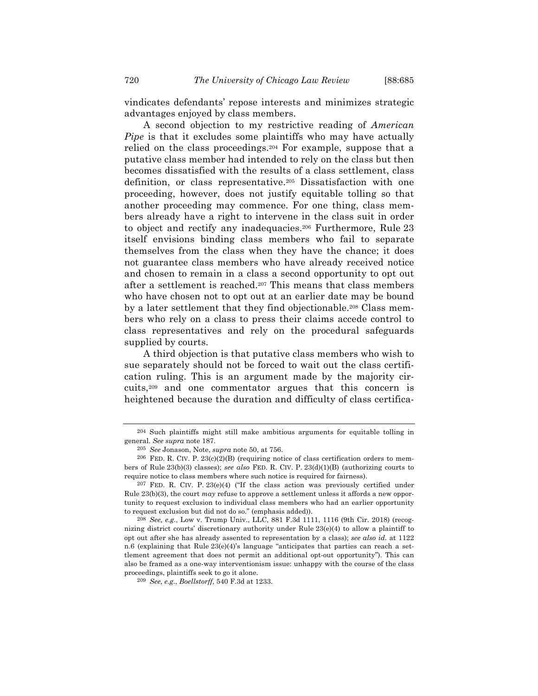vindicates defendants' repose interests and minimizes strategic advantages enjoyed by class members.

A second objection to my restrictive reading of *American Pipe* is that it excludes some plaintiffs who may have actually relied on the class proceedings.204 For example, suppose that a putative class member had intended to rely on the class but then becomes dissatisfied with the results of a class settlement, class definition, or class representative.205 Dissatisfaction with one proceeding, however, does not justify equitable tolling so that another proceeding may commence. For one thing, class members already have a right to intervene in the class suit in order to object and rectify any inadequacies.206 Furthermore, Rule 23 itself envisions binding class members who fail to separate themselves from the class when they have the chance; it does not guarantee class members who have already received notice and chosen to remain in a class a second opportunity to opt out after a settlement is reached.207 This means that class members who have chosen not to opt out at an earlier date may be bound by a later settlement that they find objectionable.208 Class members who rely on a class to press their claims accede control to class representatives and rely on the procedural safeguards supplied by courts.

A third objection is that putative class members who wish to sue separately should not be forced to wait out the class certification ruling. This is an argument made by the majority circuits,209 and one commentator argues that this concern is heightened because the duration and difficulty of class certifica-

<sup>204</sup> Such plaintiffs might still make ambitious arguments for equitable tolling in general. *See supra* note 187.

<sup>205</sup> *See* Jonason, Note, *supra* note 50, at 756.

 $206$  FED. R. CIV. P.  $23(c)(2)(B)$  (requiring notice of class certification orders to members of Rule 23(b)(3) classes); *see also* FED. R. CIV. P. 23(d)(1)(B) (authorizing courts to require notice to class members where such notice is required for fairness).

 $207$  FED. R. CIV. P.  $23(e)(4)$  ("If the class action was previously certified under Rule 23(b)(3), the court *may* refuse to approve a settlement unless it affords a new opportunity to request exclusion to individual class members who had an earlier opportunity to request exclusion but did not do so." (emphasis added)).

<sup>208</sup> *See, e.g.*, Low v. Trump Univ., LLC, 881 F.3d 1111, 1116 (9th Cir. 2018) (recognizing district courts' discretionary authority under Rule 23(e)(4) to allow a plaintiff to opt out after she has already assented to representation by a class); *see also id.* at 1122 n.6 (explaining that Rule 23(e)(4)'s language "anticipates that parties can reach a settlement agreement that does not permit an additional opt-out opportunity"). This can also be framed as a one-way interventionism issue: unhappy with the course of the class proceedings, plaintiffs seek to go it alone.

<sup>209</sup> *See, e.g.*, *Boellstorff*, 540 F.3d at 1233.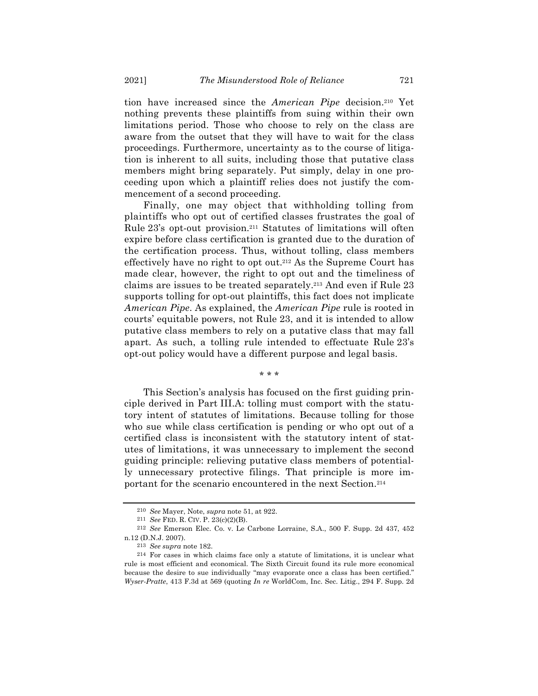tion have increased since the *American Pipe* decision.210 Yet nothing prevents these plaintiffs from suing within their own limitations period. Those who choose to rely on the class are aware from the outset that they will have to wait for the class proceedings. Furthermore, uncertainty as to the course of litigation is inherent to all suits, including those that putative class members might bring separately. Put simply, delay in one proceeding upon which a plaintiff relies does not justify the commencement of a second proceeding.

Finally, one may object that withholding tolling from plaintiffs who opt out of certified classes frustrates the goal of Rule 23's opt-out provision.211 Statutes of limitations will often expire before class certification is granted due to the duration of the certification process. Thus, without tolling, class members effectively have no right to opt out.212 As the Supreme Court has made clear, however, the right to opt out and the timeliness of claims are issues to be treated separately.213 And even if Rule 23 supports tolling for opt-out plaintiffs, this fact does not implicate *American Pipe*. As explained, the *American Pipe* rule is rooted in courts' equitable powers, not Rule 23, and it is intended to allow putative class members to rely on a putative class that may fall apart. As such, a tolling rule intended to effectuate Rule 23's opt-out policy would have a different purpose and legal basis.

\* \* \*

This Section's analysis has focused on the first guiding principle derived in Part III.A: tolling must comport with the statutory intent of statutes of limitations. Because tolling for those who sue while class certification is pending or who opt out of a certified class is inconsistent with the statutory intent of statutes of limitations, it was unnecessary to implement the second guiding principle: relieving putative class members of potentially unnecessary protective filings. That principle is more important for the scenario encountered in the next Section.214

<sup>210</sup> *See* Mayer, Note, *supra* note 51, at 922.

<sup>211</sup> *See* FED. R. CIV. P. 23(c)(2)(B).

<sup>212</sup> *See* Emerson Elec. Co. v. Le Carbone Lorraine, S.A., 500 F. Supp. 2d 437, 452 n.12 (D.N.J. 2007).

<sup>213</sup> *See supra* note 182.

<sup>214</sup> For cases in which claims face only a statute of limitations, it is unclear what rule is most efficient and economical. The Sixth Circuit found its rule more economical because the desire to sue individually "may evaporate once a class has been certified." *Wyser-Pratte*, 413 F.3d at 569 (quoting *In re* WorldCom, Inc. Sec. Litig., 294 F. Supp. 2d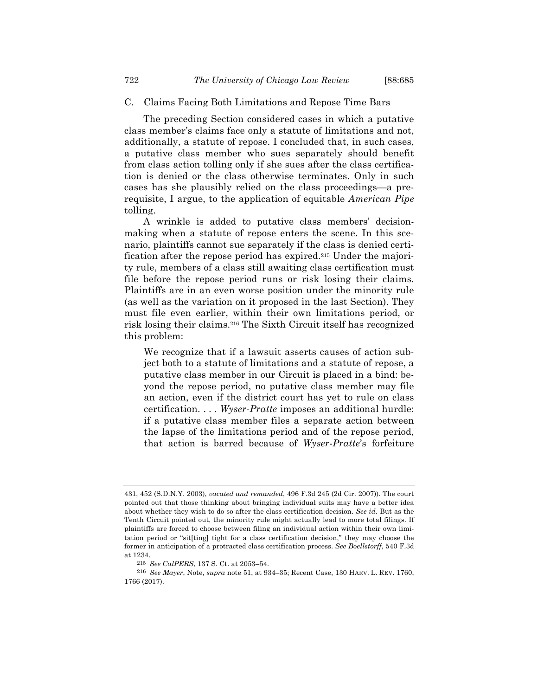#### C. Claims Facing Both Limitations and Repose Time Bars

The preceding Section considered cases in which a putative class member's claims face only a statute of limitations and not, additionally, a statute of repose. I concluded that, in such cases, a putative class member who sues separately should benefit from class action tolling only if she sues after the class certification is denied or the class otherwise terminates. Only in such cases has she plausibly relied on the class proceedings—a prerequisite, I argue, to the application of equitable *American Pipe* tolling.

A wrinkle is added to putative class members' decisionmaking when a statute of repose enters the scene. In this scenario, plaintiffs cannot sue separately if the class is denied certification after the repose period has expired.215 Under the majority rule, members of a class still awaiting class certification must file before the repose period runs or risk losing their claims. Plaintiffs are in an even worse position under the minority rule (as well as the variation on it proposed in the last Section). They must file even earlier, within their own limitations period, or risk losing their claims.216 The Sixth Circuit itself has recognized this problem:

We recognize that if a lawsuit asserts causes of action subject both to a statute of limitations and a statute of repose, a putative class member in our Circuit is placed in a bind: beyond the repose period, no putative class member may file an action, even if the district court has yet to rule on class certification. . . . *Wyser-Pratte* imposes an additional hurdle: if a putative class member files a separate action between the lapse of the limitations period and of the repose period, that action is barred because of *Wyser-Pratte*'s forfeiture

<sup>431, 452 (</sup>S.D.N.Y. 2003), *vacated and remanded*, 496 F.3d 245 (2d Cir. 2007)). The court pointed out that those thinking about bringing individual suits may have a better idea about whether they wish to do so after the class certification decision. *See id.* But as the Tenth Circuit pointed out, the minority rule might actually lead to more total filings. If plaintiffs are forced to choose between filing an individual action within their own limitation period or "sit[ting] tight for a class certification decision," they may choose the former in anticipation of a protracted class certification process. *See Boellstorff*, 540 F.3d at 1234.

<sup>215</sup> *See CalPERS*, 137 S. Ct. at 2053–54.

<sup>216</sup> *See Mayer*, Note, *supra* note 51, at 934–35; Recent Case, 130 HARV. L. REV. 1760, 1766 (2017).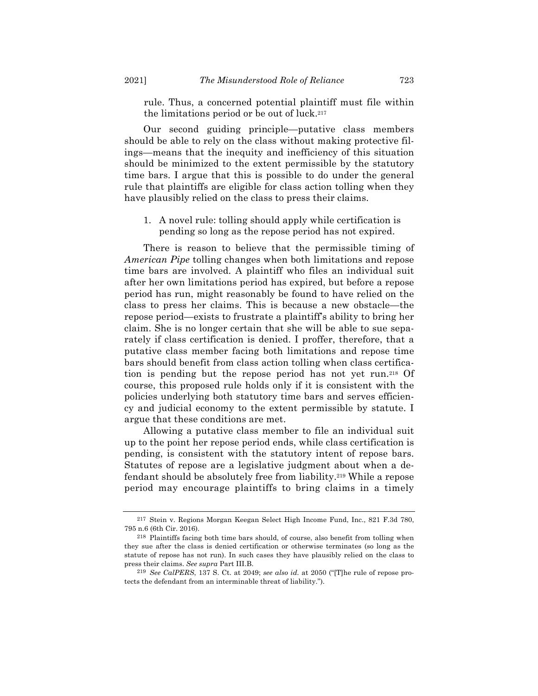rule. Thus, a concerned potential plaintiff must file within the limitations period or be out of luck.217

Our second guiding principle—putative class members should be able to rely on the class without making protective filings—means that the inequity and inefficiency of this situation should be minimized to the extent permissible by the statutory time bars. I argue that this is possible to do under the general rule that plaintiffs are eligible for class action tolling when they have plausibly relied on the class to press their claims.

1. A novel rule: tolling should apply while certification is pending so long as the repose period has not expired.

There is reason to believe that the permissible timing of *American Pipe* tolling changes when both limitations and repose time bars are involved. A plaintiff who files an individual suit after her own limitations period has expired, but before a repose period has run, might reasonably be found to have relied on the class to press her claims. This is because a new obstacle—the repose period—exists to frustrate a plaintiff's ability to bring her claim. She is no longer certain that she will be able to sue separately if class certification is denied. I proffer, therefore, that a putative class member facing both limitations and repose time bars should benefit from class action tolling when class certification is pending but the repose period has not yet run.218 Of course, this proposed rule holds only if it is consistent with the policies underlying both statutory time bars and serves efficiency and judicial economy to the extent permissible by statute. I argue that these conditions are met.

Allowing a putative class member to file an individual suit up to the point her repose period ends, while class certification is pending, is consistent with the statutory intent of repose bars. Statutes of repose are a legislative judgment about when a defendant should be absolutely free from liability.219 While a repose period may encourage plaintiffs to bring claims in a timely

<sup>217</sup> Stein v. Regions Morgan Keegan Select High Income Fund, Inc., 821 F.3d 780, 795 n.6 (6th Cir. 2016).

<sup>218</sup> Plaintiffs facing both time bars should, of course, also benefit from tolling when they sue after the class is denied certification or otherwise terminates (so long as the statute of repose has not run). In such cases they have plausibly relied on the class to press their claims. *See supra* Part III.B.

<sup>219</sup> *See CalPERS*, 137 S. Ct. at 2049; *see also id.* at 2050 ("[T]he rule of repose protects the defendant from an interminable threat of liability.").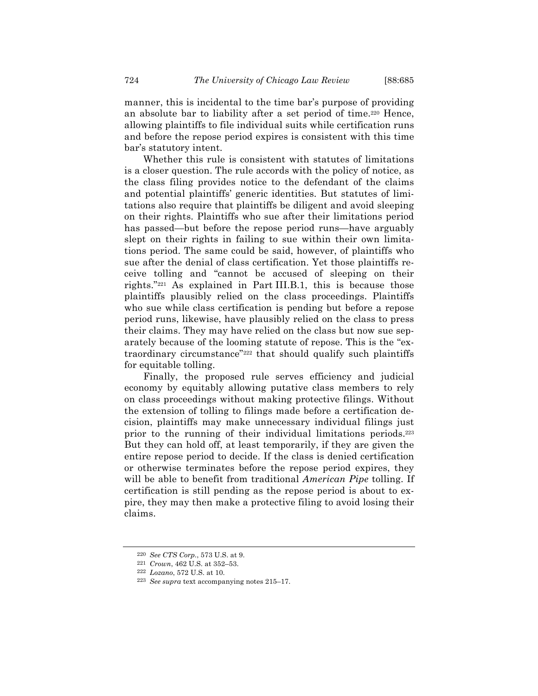manner, this is incidental to the time bar's purpose of providing an absolute bar to liability after a set period of time.220 Hence, allowing plaintiffs to file individual suits while certification runs and before the repose period expires is consistent with this time bar's statutory intent.

Whether this rule is consistent with statutes of limitations is a closer question. The rule accords with the policy of notice, as the class filing provides notice to the defendant of the claims and potential plaintiffs' generic identities. But statutes of limitations also require that plaintiffs be diligent and avoid sleeping on their rights. Plaintiffs who sue after their limitations period has passed—but before the repose period runs—have arguably slept on their rights in failing to sue within their own limitations period. The same could be said, however, of plaintiffs who sue after the denial of class certification. Yet those plaintiffs receive tolling and "cannot be accused of sleeping on their rights."221 As explained in Part III.B.1, this is because those plaintiffs plausibly relied on the class proceedings. Plaintiffs who sue while class certification is pending but before a repose period runs, likewise, have plausibly relied on the class to press their claims. They may have relied on the class but now sue separately because of the looming statute of repose. This is the "extraordinary circumstance"222 that should qualify such plaintiffs for equitable tolling.

Finally, the proposed rule serves efficiency and judicial economy by equitably allowing putative class members to rely on class proceedings without making protective filings. Without the extension of tolling to filings made before a certification decision, plaintiffs may make unnecessary individual filings just prior to the running of their individual limitations periods.223 But they can hold off, at least temporarily, if they are given the entire repose period to decide. If the class is denied certification or otherwise terminates before the repose period expires, they will be able to benefit from traditional *American Pipe* tolling. If certification is still pending as the repose period is about to expire, they may then make a protective filing to avoid losing their claims.

<sup>220</sup> *See CTS Corp.*, 573 U.S. at 9.

<sup>221</sup> *Crown*, 462 U.S. at 352–53.

<sup>222</sup> *Lozano*, 572 U.S. at 10.

<sup>223</sup> *See supra* text accompanying notes 215–17.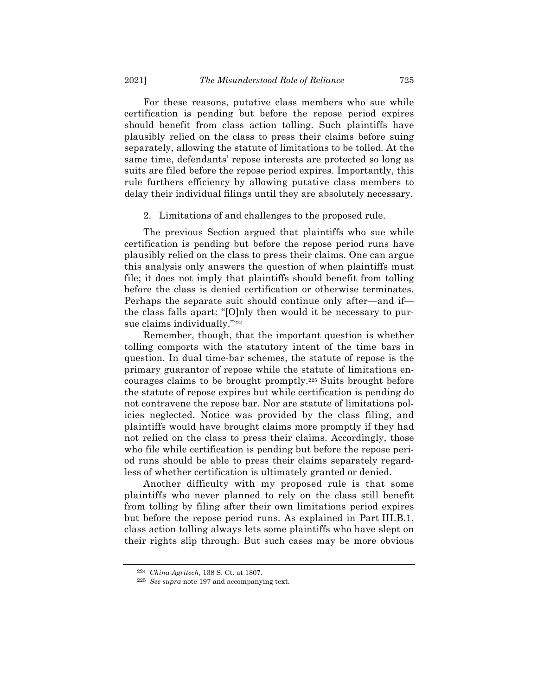For these reasons, putative class members who sue while certification is pending but before the repose period expires should benefit from class action tolling. Such plaintiffs have plausibly relied on the class to press their claims before suing separately, allowing the statute of limitations to be tolled. At the same time, defendants' repose interests are protected so long as suits are filed before the repose period expires. Importantly, this rule furthers efficiency by allowing putative class members to delay their individual filings until they are absolutely necessary.

#### 2. Limitations of and challenges to the proposed rule.

The previous Section argued that plaintiffs who sue while certification is pending but before the repose period runs have plausibly relied on the class to press their claims. One can argue this analysis only answers the question of when plaintiffs must file; it does not imply that plaintiffs should benefit from tolling before the class is denied certification or otherwise terminates. Perhaps the separate suit should continue only after—and if the class falls apart: "[O]nly then would it be necessary to pursue claims individually."224

Remember, though, that the important question is whether tolling comports with the statutory intent of the time bars in question. In dual time-bar schemes, the statute of repose is the primary guarantor of repose while the statute of limitations encourages claims to be brought promptly.225 Suits brought before the statute of repose expires but while certification is pending do not contravene the repose bar. Nor are statute of limitations policies neglected. Notice was provided by the class filing, and plaintiffs would have brought claims more promptly if they had not relied on the class to press their claims. Accordingly, those who file while certification is pending but before the repose period runs should be able to press their claims separately regardless of whether certification is ultimately granted or denied.

Another difficulty with my proposed rule is that some plaintiffs who never planned to rely on the class still benefit from tolling by filing after their own limitations period expires but before the repose period runs. As explained in Part III.B.1, class action tolling always lets some plaintiffs who have slept on their rights slip through. But such cases may be more obvious

<sup>224</sup> *China Agritech*, 138 S. Ct. at 1807.

<sup>225</sup> *See supra* note 197 and accompanying text.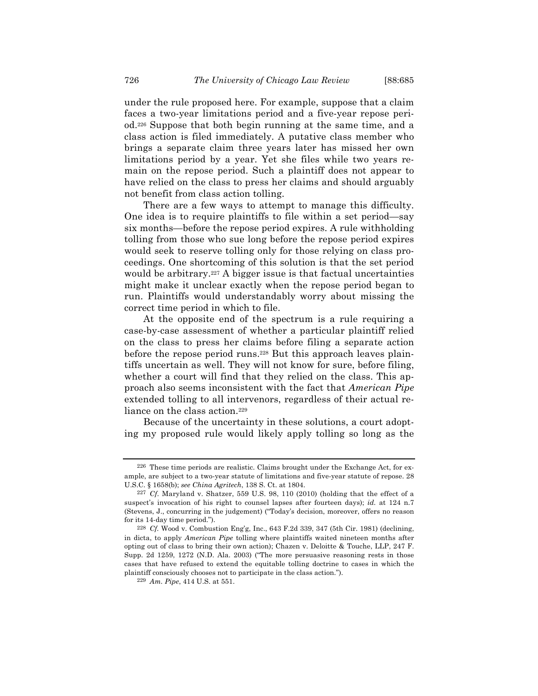under the rule proposed here. For example, suppose that a claim faces a two-year limitations period and a five-year repose period.226 Suppose that both begin running at the same time, and a class action is filed immediately. A putative class member who brings a separate claim three years later has missed her own limitations period by a year. Yet she files while two years remain on the repose period. Such a plaintiff does not appear to have relied on the class to press her claims and should arguably not benefit from class action tolling.

There are a few ways to attempt to manage this difficulty. One idea is to require plaintiffs to file within a set period—say six months—before the repose period expires. A rule withholding tolling from those who sue long before the repose period expires would seek to reserve tolling only for those relying on class proceedings. One shortcoming of this solution is that the set period would be arbitrary.<sup>227</sup> A bigger issue is that factual uncertainties might make it unclear exactly when the repose period began to run. Plaintiffs would understandably worry about missing the correct time period in which to file.

At the opposite end of the spectrum is a rule requiring a case-by-case assessment of whether a particular plaintiff relied on the class to press her claims before filing a separate action before the repose period runs.228 But this approach leaves plaintiffs uncertain as well. They will not know for sure, before filing, whether a court will find that they relied on the class. This approach also seems inconsistent with the fact that *American Pipe* extended tolling to all intervenors, regardless of their actual reliance on the class action.<sup>229</sup>

Because of the uncertainty in these solutions, a court adopting my proposed rule would likely apply tolling so long as the

<sup>226</sup> These time periods are realistic. Claims brought under the Exchange Act, for example, are subject to a two-year statute of limitations and five-year statute of repose. 28 U.S.C. § 1658(b); *see China Agritech*, 138 S. Ct. at 1804.

<sup>227</sup> *Cf.* Maryland v. Shatzer, 559 U.S. 98, 110 (2010) (holding that the effect of a suspect's invocation of his right to counsel lapses after fourteen days); *id.* at 124 n.7 (Stevens, J., concurring in the judgement) ("Today's decision, moreover, offers no reason for its 14-day time period.").

<sup>228</sup> *Cf.* Wood v. Combustion Eng'g, Inc., 643 F.2d 339, 347 (5th Cir. 1981) (declining, in dicta, to apply *American Pipe* tolling where plaintiffs waited nineteen months after opting out of class to bring their own action); Chazen v. Deloitte & Touche, LLP, 247 F. Supp. 2d 1259, 1272 (N.D. Ala. 2003) ("The more persuasive reasoning rests in those cases that have refused to extend the equitable tolling doctrine to cases in which the plaintiff consciously chooses not to participate in the class action.").

<sup>229</sup> *Am. Pipe*, 414 U.S. at 551.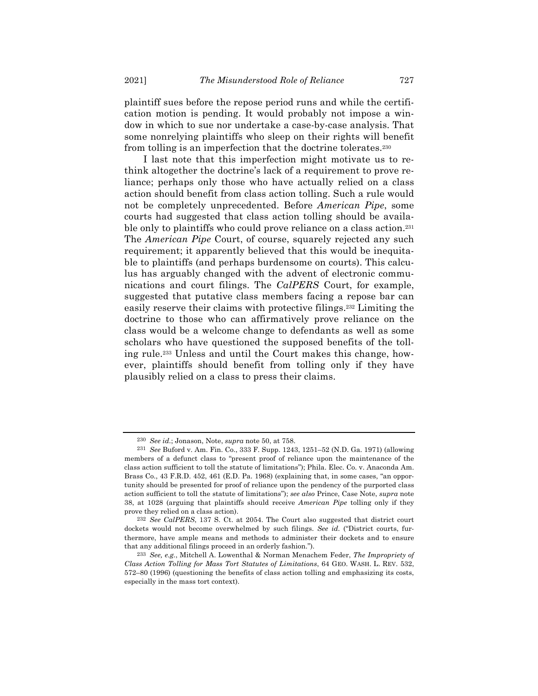plaintiff sues before the repose period runs and while the certification motion is pending. It would probably not impose a window in which to sue nor undertake a case-by-case analysis. That some nonrelying plaintiffs who sleep on their rights will benefit from tolling is an imperfection that the doctrine tolerates.230

I last note that this imperfection might motivate us to rethink altogether the doctrine's lack of a requirement to prove reliance; perhaps only those who have actually relied on a class action should benefit from class action tolling. Such a rule would not be completely unprecedented. Before *American Pipe*, some courts had suggested that class action tolling should be available only to plaintiffs who could prove reliance on a class action.<sup>231</sup> The *American Pipe* Court, of course, squarely rejected any such requirement; it apparently believed that this would be inequitable to plaintiffs (and perhaps burdensome on courts). This calculus has arguably changed with the advent of electronic communications and court filings. The *CalPERS* Court, for example, suggested that putative class members facing a repose bar can easily reserve their claims with protective filings.232 Limiting the doctrine to those who can affirmatively prove reliance on the class would be a welcome change to defendants as well as some scholars who have questioned the supposed benefits of the tolling rule.233 Unless and until the Court makes this change, however, plaintiffs should benefit from tolling only if they have plausibly relied on a class to press their claims.

<sup>230</sup> *See id.*; Jonason, Note, *supra* note 50, at 758.

<sup>231</sup> *See* Buford v. Am. Fin. Co., 333 F. Supp. 1243, 1251–52 (N.D. Ga. 1971) (allowing members of a defunct class to "present proof of reliance upon the maintenance of the class action sufficient to toll the statute of limitations"); Phila. Elec. Co. v. Anaconda Am. Brass Co., 43 F.R.D. 452, 461 (E.D. Pa. 1968) (explaining that, in some cases, "an opportunity should be presented for proof of reliance upon the pendency of the purported class action sufficient to toll the statute of limitations"); *see also* Prince, Case Note, *supra* note 38, at 1028 (arguing that plaintiffs should receive *American Pipe* tolling only if they prove they relied on a class action).

<sup>232</sup> *See CalPERS*, 137 S. Ct. at 2054. The Court also suggested that district court dockets would not become overwhelmed by such filings. *See id.* ("District courts, furthermore, have ample means and methods to administer their dockets and to ensure that any additional filings proceed in an orderly fashion.").

<sup>233</sup> *See, e.g.*, Mitchell A. Lowenthal & Norman Menachem Feder, *The Impropriety of Class Action Tolling for Mass Tort Statutes of Limitations*, 64 GEO. WASH. L. REV. 532, 572–80 (1996) (questioning the benefits of class action tolling and emphasizing its costs, especially in the mass tort context).